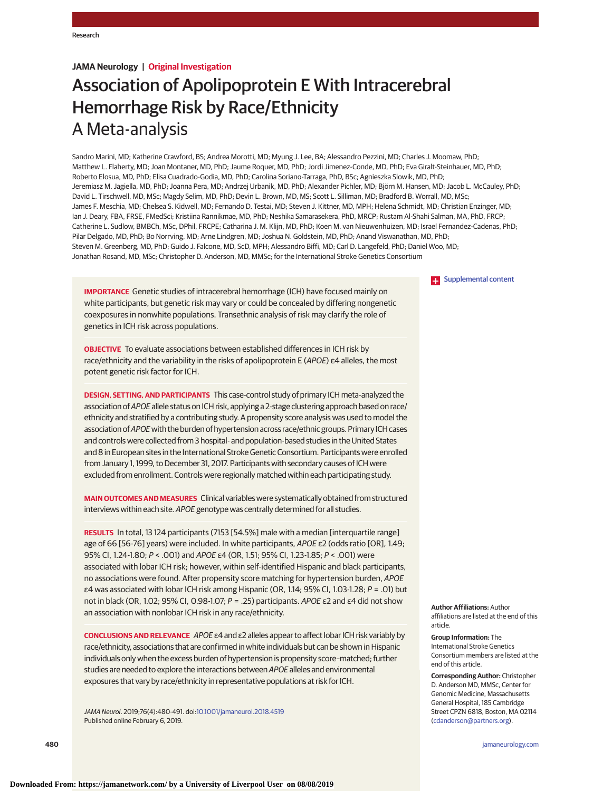# **JAMA Neurology | Original Investigation**

# Association of Apolipoprotein E With Intracerebral Hemorrhage Risk by Race/Ethnicity A Meta-analysis

Sandro Marini, MD; Katherine Crawford, BS; Andrea Morotti, MD; Myung J. Lee, BA; Alessandro Pezzini, MD; Charles J. Moomaw, PhD; Matthew L. Flaherty, MD; Joan Montaner, MD, PhD; Jaume Roquer, MD, PhD; Jordi Jimenez-Conde, MD, PhD; Eva Giralt-Steinhauer, MD, PhD; Roberto Elosua, MD, PhD; Elisa Cuadrado-Godia, MD, PhD; Carolina Soriano-Tarraga, PhD, BSc; Agnieszka Slowik, MD, PhD; Jeremiasz M. Jagiella, MD, PhD; Joanna Pera, MD; Andrzej Urbanik, MD, PhD; Alexander Pichler, MD; Björn M. Hansen, MD; Jacob L. McCauley, PhD; David L. Tirschwell, MD, MSc; Magdy Selim, MD, PhD; Devin L. Brown, MD, MS; Scott L. Silliman, MD; Bradford B. Worrall, MD, MSc; James F. Meschia, MD; Chelsea S. Kidwell, MD; Fernando D. Testai, MD; Steven J. Kittner, MD, MPH; Helena Schmidt, MD; Christian Enzinger, MD; Ian J. Deary, FBA, FRSE, FMedSci; Kristiina Rannikmae, MD, PhD; Neshika Samarasekera, PhD, MRCP; Rustam Al-Shahi Salman, MA, PhD, FRCP; Catherine L. Sudlow, BMBCh, MSc, DPhil, FRCPE; Catharina J. M. Klijn, MD, PhD; Koen M. van Nieuwenhuizen, MD; Israel Fernandez-Cadenas, PhD; Pilar Delgado, MD, PhD; Bo Norrving, MD; Arne Lindgren, MD; Joshua N. Goldstein, MD, PhD; Anand Viswanathan, MD, PhD; Steven M. Greenberg, MD, PhD; Guido J. Falcone, MD, ScD, MPH; Alessandro Biffi, MD; Carl D. Langefeld, PhD; Daniel Woo, MD; Jonathan Rosand, MD, MSc; Christopher D. Anderson, MD, MMSc; for the International Stroke Genetics Consortium

**IMPORTANCE** Genetic studies of intracerebral hemorrhage (ICH) have focused mainly on white participants, but genetic risk may vary or could be concealed by differing nongenetic coexposures in nonwhite populations. Transethnic analysis of risk may clarify the role of genetics in ICH risk across populations.

**OBJECTIVE** To evaluate associations between established differences in ICH risk by race/ethnicity and the variability in the risks of apolipoprotein E (APOE) ε4 alleles, the most potent genetic risk factor for ICH.

**DESIGN, SETTING, AND PARTICIPANTS** This case-control study of primary ICH meta-analyzed the association of APOE allele status on ICH risk, applying a 2-stage clustering approach based on race/ ethnicity and stratified by a contributing study. A propensity score analysis was used to model the association of APOE with the burden of hypertension across race/ethnic groups. Primary ICH cases and controls were collected from 3 hospital- and population-based studies in the United States and 8 in European sites in the International Stroke Genetic Consortium. Participants were enrolled from January 1, 1999, to December 31, 2017. Participants with secondary causes of ICH were excluded from enrollment. Controls were regionally matched within each participating study.

**MAIN OUTCOMES AND MEASURES** Clinical variables were systematically obtained from structured interviews within each site. APOE genotype was centrally determined for all studies.

**RESULTS** In total, 13 124 participants (7153 [54.5%] male with a median [interquartile range] age of 66 [56-76] years) were included. In white participants, APOE ε2 (odds ratio [OR], 1.49; 95% CI, 1.24-1.80; P < .001) and APOE ε4 (OR, 1.51; 95% CI, 1.23-1.85; P < .001) were associated with lobar ICH risk; however, within self-identified Hispanic and black participants, no associations were found. After propensity score matching for hypertension burden, APOE ε4 was associated with lobar ICH risk among Hispanic (OR, 1.14; 95% CI, 1.03-1.28;  $P = .01$ ) but not in black (OR, 1.02; 95% CI, 0.98-1.07;  $P = .25$ ) participants. APOE ε2 and ε4 did not show an association with nonlobar ICH risk in any race/ethnicity.

**CONCLUSIONS AND RELEVANCE** APOE ε4 and ε2 alleles appear to affect lobar ICH risk variably by race/ethnicity, associations that are confirmed in white individuals but can be shown in Hispanic individuals only when the excess burden of hypertension is propensity score–matched; further studies are needed to explore the interactions between APOE alleles and environmental exposures that vary by race/ethnicity in representative populations at risk for ICH.

JAMA Neurol. 2019;76(4):480-491. doi[:10.1001/jamaneurol.2018.4519](https://jama.jamanetwork.com/article.aspx?doi=10.1001/jamaneurol.2018.4519&utm_campaign=articlePDF%26utm_medium=articlePDFlink%26utm_source=articlePDF%26utm_content=jamaneurol.2018.4519) Published online February 6, 2019.

**Examplemental content** 

**Author Affiliations:** Author affiliations are listed at the end of this article.

**Group Information:** The International Stroke Genetics Consortium members are listed at the end of this article.

**Corresponding Author:** Christopher D. Anderson MD, MMSc, Center for Genomic Medicine, Massachusetts General Hospital, 185 Cambridge Street CPZN 6818, Boston, MA 02114 [\(cdanderson@partners.org\)](mailto:cdanderson@partners.org).

**480 (Reprinted)** [jamaneurology.com](http://www.jamaneurology.com/?utm_campaign=articlePDF%26utm_medium=articlePDFlink%26utm_source=articlePDF%26utm_content=jamaneurol.2018.4519)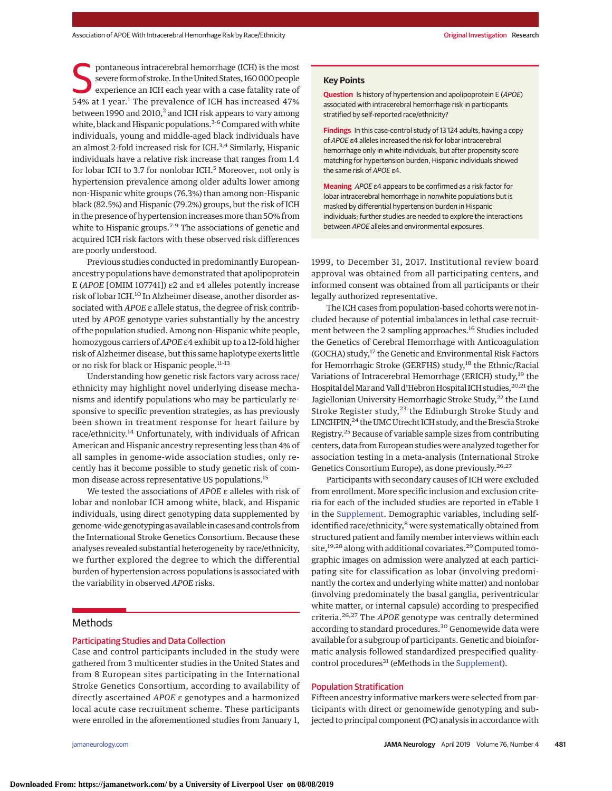pontaneous intracerebral hemorrhage (ICH) is the most severe form of stroke. In the United States, 160 000 people experience an ICH each year with a case fatality rate of 54% at 1 year.<sup>1</sup> The prevalence of ICH has increased 47% between 1990 and 2010, $^2$  and ICH risk appears to vary among white, black and Hispanic populations.<sup>3-6</sup> Compared with white individuals, young and middle-aged black individuals have an almost 2-fold increased risk for ICH.<sup>3,4</sup> Similarly, Hispanic individuals have a relative risk increase that ranges from 1.4 for lobar ICH to 3.7 for nonlobar ICH.<sup>5</sup> Moreover, not only is hypertension prevalence among older adults lower among non-Hispanic white groups (76.3%) than among non-Hispanic black (82.5%) and Hispanic (79.2%) groups, but the risk of ICH in the presence of hypertension increases more than 50% from white to Hispanic groups.<sup>7-9</sup> The associations of genetic and acquired ICH risk factors with these observed risk differences are poorly understood.

Previous studies conducted in predominantly Europeanancestry populations have demonstrated that apolipoprotein E (*APOE* [OMIM 107741]) ε2 and ε4 alleles potently increase risk of lobar ICH.<sup>10</sup> In Alzheimer disease, another disorder associated with *APOE* ε allele status, the degree of risk contributed by *APOE* genotype varies substantially by the ancestry of the population studied. Among non-Hispanic white people, homozygous carriers of *APOE* ε4 exhibit up to a 12-fold higher risk of Alzheimer disease, but this same haplotype exerts little or no risk for black or Hispanic people.11-13

Understanding how genetic risk factors vary across race/ ethnicity may highlight novel underlying disease mechanisms and identify populations who may be particularly responsive to specific prevention strategies, as has previously been shown in treatment response for heart failure by race/ethnicity.<sup>14</sup> Unfortunately, with individuals of African American and Hispanic ancestry representing less than 4% of all samples in genome-wide association studies, only recently has it become possible to study genetic risk of common disease across representative US populations.<sup>15</sup>

We tested the associations of *APOE* ε alleles with risk of lobar and nonlobar ICH among white, black, and Hispanic individuals, using direct genotyping data supplemented by genome-wide genotyping as available in cases and controls from the International Stroke Genetics Consortium. Because these analyses revealed substantial heterogeneity by race/ethnicity, we further explored the degree to which the differential burden of hypertension across populations is associated with the variability in observed *APOE* risks.

# **Methods**

#### Participating Studies and Data Collection

Case and control participants included in the study were gathered from 3 multicenter studies in the United States and from 8 European sites participating in the International Stroke Genetics Consortium, according to availability of directly ascertained *APOE* ε genotypes and a harmonized local acute case recruitment scheme. These participants were enrolled in the aforementioned studies from January 1,

#### **Key Points**

**Question** Is history of hypertension and apolipoprotein E (APOE) associated with intracerebral hemorrhage risk in participants stratified by self-reported race/ethnicity?

**Findings** In this case-control study of 13 124 adults, having a copy of APOE ε4 alleles increased the risk for lobar intracerebral hemorrhage only in white individuals, but after propensity score matching for hypertension burden, Hispanic individuals showed the same risk of APOE ε4.

**Meaning** APOE ε4 appears to be confirmed as a risk factor for lobar intracerebral hemorrhage in nonwhite populations but is masked by differential hypertension burden in Hispanic individuals; further studies are needed to explore the interactions between APOE alleles and environmental exposures.

1999, to December 31, 2017. Institutional review board approval was obtained from all participating centers, and informed consent was obtained from all participants or their legally authorized representative.

The ICH cases from population-based cohorts were not included because of potential imbalances in lethal case recruitment between the 2 sampling approaches.<sup>16</sup> Studies included the Genetics of Cerebral Hemorrhage with Anticoagulation (GOCHA) study,17 the Genetic and Environmental Risk Factors for Hemorrhagic Stroke (GERFHS) study,<sup>18</sup> the Ethnic/Racial Variations of Intracerebral Hemorrhage (ERICH) study,<sup>19</sup> the Hospital del Mar and Vall d'Hebron Hospital ICH studies, <sup>20,21</sup> the Jagiellonian University Hemorrhagic Stroke Study,<sup>22</sup> the Lund Stroke Register study,  $23$  the Edinburgh Stroke Study and LINCHPIN,<sup>24</sup> the UMC Utrecht ICH study, and the Brescia Stroke Registry.25 Because of variable sample sizes from contributing centers, data from European studies were analyzed together for association testing in a meta-analysis (International Stroke Genetics Consortium Europe), as done previously.<sup>26,27</sup>

Participants with secondary causes of ICH were excluded from enrollment. More specific inclusion and exclusion criteria for each of the included studies are reported in eTable 1 in the [Supplement.](https://jama.jamanetwork.com/article.aspx?doi=10.1001/jamaneurol.2018.4519&utm_campaign=articlePDF%26utm_medium=articlePDFlink%26utm_source=articlePDF%26utm_content=jamaneurol.2018.4519) Demographic variables, including selfidentified race/ethnicity,<sup>8</sup> were systematically obtained from structured patient and family member interviews within each site,<sup>19,28</sup> along with additional covariates.<sup>29</sup> Computed tomographic images on admission were analyzed at each participating site for classification as lobar (involving predominantly the cortex and underlying white matter) and nonlobar (involving predominately the basal ganglia, periventricular white matter, or internal capsule) according to prespecified criteria.26,27 The *APOE* genotype was centrally determined according to standard procedures.<sup>30</sup> Genomewide data were available for a subgroup of participants. Genetic and bioinformatic analysis followed standardized prespecified quality-control procedures<sup>31</sup> (eMethods in the [Supplement\)](https://jama.jamanetwork.com/article.aspx?doi=10.1001/jamaneurol.2018.4519&utm_campaign=articlePDF%26utm_medium=articlePDFlink%26utm_source=articlePDF%26utm_content=jamaneurol.2018.4519).

### Population Stratification

Fifteen ancestry informative markers were selected from participants with direct or genomewide genotyping and subjected to principal component (PC) analysis in accordance with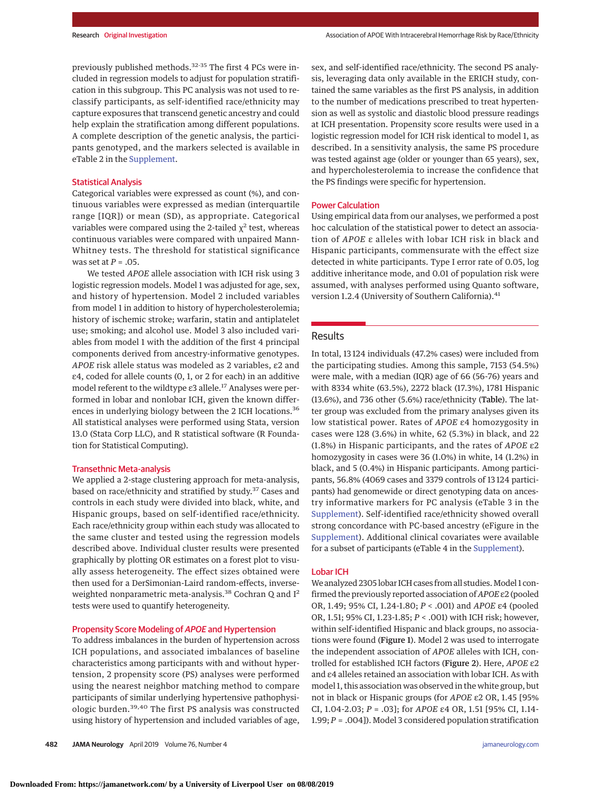previously published methods.<sup>32-35</sup> The first 4 PCs were included in regression models to adjust for population stratification in this subgroup. This PC analysis was not used to reclassify participants, as self-identified race/ethnicity may capture exposures that transcend genetic ancestry and could help explain the stratification among different populations. A complete description of the genetic analysis, the participants genotyped, and the markers selected is available in eTable 2 in the [Supplement.](https://jama.jamanetwork.com/article.aspx?doi=10.1001/jamaneurol.2018.4519&utm_campaign=articlePDF%26utm_medium=articlePDFlink%26utm_source=articlePDF%26utm_content=jamaneurol.2018.4519)

#### Statistical Analysis

Categorical variables were expressed as count (%), and continuous variables were expressed as median (interquartile range [IQR]) or mean (SD), as appropriate. Categorical variables were compared using the 2-tailed  $\chi^2$  test, whereas continuous variables were compared with unpaired Mann-Whitney tests. The threshold for statistical significance was set at *P* = .05.

We tested *APOE* allele association with ICH risk using 3 logistic regression models. Model 1 was adjusted for age, sex, and history of hypertension. Model 2 included variables from model 1 in addition to history of hypercholesterolemia; history of ischemic stroke; warfarin, statin and antiplatelet use; smoking; and alcohol use. Model 3 also included variables from model 1 with the addition of the first 4 principal components derived from ancestry-informative genotypes. *APOE* risk allele status was modeled as 2 variables, ε2 and ε4, coded for allele counts (0, 1, or 2 for each) in an additive model referent to the wildtype ε3 allele.<sup>17</sup> Analyses were performed in lobar and nonlobar ICH, given the known differences in underlying biology between the 2 ICH locations.<sup>36</sup> All statistical analyses were performed using Stata, version 13.0 (Stata Corp LLC), and R statistical software (R Foundation for Statistical Computing).

#### Transethnic Meta-analysis

We applied a 2-stage clustering approach for meta-analysis, based on race/ethnicity and stratified by study.<sup>37</sup> Cases and controls in each study were divided into black, white, and Hispanic groups, based on self-identified race/ethnicity. Each race/ethnicity group within each study was allocated to the same cluster and tested using the regression models described above. Individual cluster results were presented graphically by plotting OR estimates on a forest plot to visually assess heterogeneity. The effect sizes obtained were then used for a DerSimonian-Laird random-effects, inverseweighted nonparametric meta-analysis.<sup>38</sup> Cochran Q and  $I^2$ tests were used to quantify heterogeneity.

# Propensity Score Modeling of APOE and Hypertension

To address imbalances in the burden of hypertension across ICH populations, and associated imbalances of baseline characteristics among participants with and without hypertension, 2 propensity score (PS) analyses were performed using the nearest neighbor matching method to compare participants of similar underlying hypertensive pathophysiologic burden.39,40 The first PS analysis was constructed using history of hypertension and included variables of age,

**482 JAMA Neurology** April 2019 Volume 76, Number 4 **(Reprinted)** [jamaneurology.com](http://www.jamaneurology.com/?utm_campaign=articlePDF%26utm_medium=articlePDFlink%26utm_source=articlePDF%26utm_content=jamaneurol.2018.4519)

sex, and self-identified race/ethnicity. The second PS analysis, leveraging data only available in the ERICH study, contained the same variables as the first PS analysis, in addition to the number of medications prescribed to treat hypertension as well as systolic and diastolic blood pressure readings at ICH presentation. Propensity score results were used in a logistic regression model for ICH risk identical to model 1, as described. In a sensitivity analysis, the same PS procedure was tested against age (older or younger than 65 years), sex, and hypercholesterolemia to increase the confidence that the PS findings were specific for hypertension.

#### Power Calculation

Using empirical data from our analyses, we performed a post hoc calculation of the statistical power to detect an association of *APOE* ε alleles with lobar ICH risk in black and Hispanic participants, commensurate with the effect size detected in white participants. Type I error rate of 0.05, log additive inheritance mode, and 0.01 of population risk were assumed, with analyses performed using Quanto software, version 1.2.4 (University of Southern California).<sup>41</sup>

#### Results

In total, 13 124 individuals (47.2% cases) were included from the participating studies. Among this sample, 7153 (54.5%) were male, with a median (IQR) age of 66 (56-76) years and with 8334 white (63.5%), 2272 black (17.3%), 1781 Hispanic (13.6%), and 736 other (5.6%) race/ethnicity (Table). The latter group was excluded from the primary analyses given its low statistical power. Rates of *APOE* ε4 homozygosity in cases were 128 (3.6%) in white, 62 (5.3%) in black, and 22 (1.8%) in Hispanic participants, and the rates of *APOE* ε2 homozygosity in cases were 36 (1.0%) in white, 14 (1.2%) in black, and 5 (0.4%) in Hispanic participants. Among participants, 56.8% (4069 cases and 3379 controls of 13 124 participants) had genomewide or direct genotyping data on ancestry informative markers for PC analysis (eTable 3 in the [Supplement\)](https://jama.jamanetwork.com/article.aspx?doi=10.1001/jamaneurol.2018.4519&utm_campaign=articlePDF%26utm_medium=articlePDFlink%26utm_source=articlePDF%26utm_content=jamaneurol.2018.4519). Self-identified race/ethnicity showed overall strong concordance with PC-based ancestry (eFigure in the [Supplement\)](https://jama.jamanetwork.com/article.aspx?doi=10.1001/jamaneurol.2018.4519&utm_campaign=articlePDF%26utm_medium=articlePDFlink%26utm_source=articlePDF%26utm_content=jamaneurol.2018.4519). Additional clinical covariates were available for a subset of participants (eTable 4 in the [Supplement\)](https://jama.jamanetwork.com/article.aspx?doi=10.1001/jamaneurol.2018.4519&utm_campaign=articlePDF%26utm_medium=articlePDFlink%26utm_source=articlePDF%26utm_content=jamaneurol.2018.4519).

#### Lobar ICH

We analyzed 2305 lobar ICH cases from all studies. Model 1 confirmed the previously reported association of *APOE*ε2 (pooled OR, 1.49; 95% CI, 1.24-1.80; *P* < .001) and *APOE* ε4 (pooled OR, 1.51; 95% CI, 1.23-1.85; *P* < .001) with ICH risk; however, within self-identified Hispanic and black groups, no associations were found (Figure 1). Model 2 was used to interrogate the independent association of *APOE* alleles with ICH, controlled for established ICH factors (Figure 2). Here, *APOE* ε2 and ε4 alleles retained an association with lobar ICH. As with model 1, this association was observed in the white group, but not in black or Hispanic groups (for *APOE* ε2 OR, 1.45 [95% CI, 1.04-2.03; *P* = .03]; for *APOE* ε4 OR, 1.51 [95% CI, 1.14- 1.99; *P* = .004]). Model 3 considered population stratification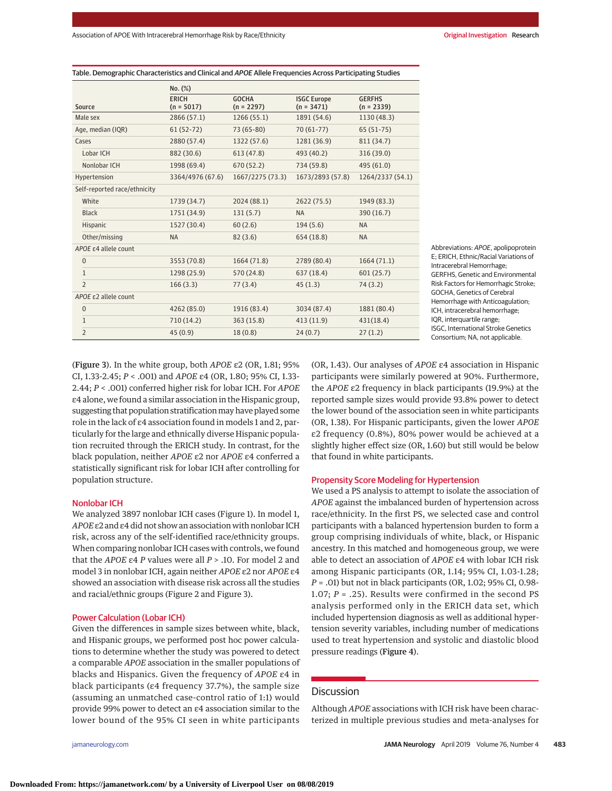|                              | No. (%)                      |                              |                                    |                               |
|------------------------------|------------------------------|------------------------------|------------------------------------|-------------------------------|
| Source                       | <b>ERICH</b><br>$(n = 5017)$ | <b>GOCHA</b><br>$(n = 2297)$ | <b>ISGC Europe</b><br>$(n = 3471)$ | <b>GERFHS</b><br>$(n = 2339)$ |
| Male sex                     | 2866 (57.1)                  | 1266(55.1)                   | 1891 (54.6)                        | 1130 (48.3)                   |
| Age, median (IQR)            | $61(52-72)$                  | 73 (65-80)                   | 70 (61-77)                         | $65(51-75)$                   |
| Cases                        | 2880 (57.4)                  | 1322 (57.6)                  | 1281 (36.9)                        | 811 (34.7)                    |
| Lobar ICH                    | 882 (30.6)                   | 613 (47.8)                   | 493 (40.2)                         | 316 (39.0)                    |
| Nonlobar ICH                 | 1998 (69.4)                  | 670 (52.2)                   | 734 (59.8)                         | 495 (61.0)                    |
| Hypertension                 | 3364/4976 (67.6)             | 1667/2275 (73.3)             | 1673/2893 (57.8)                   | 1264/2337 (54.1)              |
| Self-reported race/ethnicity |                              |                              |                                    |                               |
| White                        | 1739 (34.7)                  | 2024 (88.1)                  | 2622 (75.5)                        | 1949 (83.3)                   |
| <b>Black</b>                 | 1751 (34.9)                  | 131(5.7)                     | <b>NA</b>                          | 390 (16.7)                    |
| Hispanic                     | 1527 (30.4)                  | 60(2.6)                      | 194(5.6)                           | <b>NA</b>                     |
| Other/missing                | <b>NA</b>                    | 82(3.6)                      | 654 (18.8)                         | <b>NA</b>                     |
| APOE ε4 allele count         |                              |                              |                                    |                               |
| $\overline{0}$               | 3553 (70.8)                  | 1664 (71.8)                  | 2789 (80.4)                        | 1664(71.1)                    |
| $\mathbf{1}$                 | 1298 (25.9)                  | 570 (24.8)                   | 637 (18.4)                         | 601(25.7)                     |
| $\overline{2}$               | 166(3.3)                     | 77(3.4)                      | 45(1.3)                            | 74 (3.2)                      |
| $APOE$ ε2 allele count       |                              |                              |                                    |                               |
| $\overline{0}$               | 4262 (85.0)                  | 1916 (83.4)                  | 3034 (87.4)                        | 1881 (80.4)                   |
| $\mathbf{1}$                 | 710 (14.2)                   | 363 (15.8)                   | 413 (11.9)                         | 431(18.4)                     |
| $\overline{2}$               | 45(0.9)                      | 18(0.8)                      | 24(0.7)                            | 27(1.2)                       |

Table. Demographic Characteristics and Clinical and APOE Allele Frequencies Across Participating Studies

Abbreviations: APOE, apolipoprotein E; ERICH, Ethnic/Racial Variations of Intracerebral Hemorrhage; GERFHS, Genetic and Environmental Risk Factors for Hemorrhagic Stroke; GOCHA, Genetics of Cerebral Hemorrhage with Anticoagulation; ICH, intracerebral hemorrhage; IOR, interquartile range: ISGC, International Stroke Genetics Consortium; NA, not applicable.

(Figure 3). In the white group, both *APOE* ε2 (OR, 1.81; 95% CI, 1.33-2.45; *P* < .001) and *APOE* ε4 (OR, 1.80; 95% CI, 1.33- 2.44; *P* < .001) conferred higher risk for lobar ICH. For *APOE* ε4 alone, we found a similar association in the Hispanic group, suggesting that population stratification may have played some role in the lack of ε4 association found in models 1 and 2, particularly for the large and ethnically diverse Hispanic population recruited through the ERICH study. In contrast, for the black population, neither *APOE* ε2 nor *APOE* ε4 conferred a statistically significant risk for lobar ICH after controlling for population structure.

#### Nonlobar ICH

We analyzed 3897 nonlobar ICH cases (Figure 1). In model 1, *APOE*ε2 and ε4 did not show an association with nonlobar ICH risk, across any of the self-identified race/ethnicity groups. When comparing nonlobar ICH cases with controls, we found that the *APOE* ε4 *P* values were all *P* > .10. For model 2 and model 3 in nonlobar ICH, again neither *APOE* ε2 nor *APOE* ε4 showed an association with disease risk across all the studies and racial/ethnic groups (Figure 2 and Figure 3).

#### Power Calculation (Lobar ICH)

Given the differences in sample sizes between white, black, and Hispanic groups, we performed post hoc power calculations to determine whether the study was powered to detect a comparable *APOE* association in the smaller populations of blacks and Hispanics. Given the frequency of *APOE* ε4 in black participants (ε4 frequency 37.7%), the sample size (assuming an unmatched case-control ratio of 1:1) would provide 99% power to detect an ε4 association similar to the lower bound of the 95% CI seen in white participants

(OR, 1.43). Our analyses of *APOE* ε4 association in Hispanic participants were similarly powered at 90%. Furthermore, the *APOE* ε2 frequency in black participants (19.9%) at the reported sample sizes would provide 93.8% power to detect the lower bound of the association seen in white participants (OR, 1.38). For Hispanic participants, given the lower *APOE* ε2 frequency (0.8%), 80% power would be achieved at a slightly higher effect size (OR, 1.60) but still would be below that found in white participants.

#### Propensity Score Modeling for Hypertension

We used a PS analysis to attempt to isolate the association of *APOE* against the imbalanced burden of hypertension across race/ethnicity. In the first PS, we selected case and control participants with a balanced hypertension burden to form a group comprising individuals of white, black, or Hispanic ancestry. In this matched and homogeneous group, we were able to detect an association of *APOE* ε4 with lobar ICH risk among Hispanic participants (OR, 1.14; 95% CI, 1.03-1.28; *P* = .01) but not in black participants (OR, 1.02; 95% CI, 0.98- 1.07; *P* = .25). Results were confirmed in the second PS analysis performed only in the ERICH data set, which included hypertension diagnosis as well as additional hypertension severity variables, including number of medications used to treat hypertension and systolic and diastolic blood pressure readings (Figure 4).

# **Discussion**

Although *APOE* associations with ICH risk have been characterized in multiple previous studies and meta-analyses for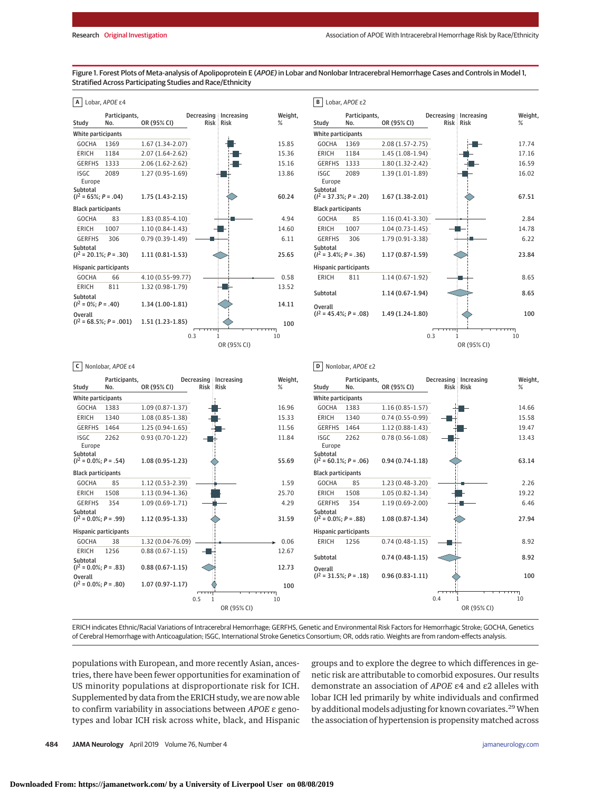Figure 1. Forest Plots of Meta-analysis of Apolipoprotein E (APOE) in Lobar and Nonlobar Intracerebral Hemorrhage Cases and Controls in Model 1, Stratified Across Participating Studies and Race/Ethnicity

| A                                     | Lobar, APOE ε4             |                     |                         |                  |              |
|---------------------------------------|----------------------------|---------------------|-------------------------|------------------|--------------|
| Study                                 | Participants,<br>No.       | OR (95% CI)         | Decreasing   Increasing | <b>Risk Risk</b> | Weight,<br>% |
| White participants                    |                            |                     |                         |                  |              |
| GOCHA                                 | 1369                       | $1.67(1.34-2.07)$   |                         |                  | 15.85        |
| ERICH                                 | 1184                       | $2.07(1.64 - 2.62)$ |                         |                  | 15.36        |
| <b>GERFHS</b>                         | 1333                       | $2.06(1.62 - 2.62)$ |                         |                  | 15.16        |
| <b>ISGC</b><br>Europe                 | 2089                       | $1.27(0.95-1.69)$   |                         |                  | 13.86        |
| Subtotal<br>$(I^2 = 65\%; P = .04)$   |                            | $1.75(1.43-2.15)$   |                         |                  | 60.24        |
| <b>Black participants</b>             |                            |                     |                         |                  |              |
| GOCHA                                 | 83                         | $1.83(0.85 - 4.10)$ |                         |                  | 4.94         |
| <b>ERICH</b>                          | 1007                       | $1.10(0.84-1.43)$   |                         |                  | 14.60        |
| <b>GERFHS</b>                         | 306                        | $0.79(0.39-1.49)$   |                         |                  | 6.11         |
| Subtotal<br>$(I^2 = 20.1\%; P = .30)$ |                            | $1.11(0.81-1.53)$   |                         |                  | 25.65        |
| <b>Hispanic participants</b>          |                            |                     |                         |                  |              |
| GOCHA                                 | 66                         | 4.10 (0.55-99.77)   |                         |                  | 0.58         |
| <b>ERICH</b>                          | 811                        | 1.32 (0.98-1.79)    |                         |                  | 13.52        |
| Subtotal<br>$(I^2 = 0\%; P = .40)$    |                            | $1.34(1.00-1.81)$   |                         |                  | 14.11        |
| Overall                               | $(I^2 = 68.5\%; P = .001)$ | $1.51(1.23-1.85)$   |                         |                  | 100          |
|                                       |                            |                     | 0.3                     | 1                | 10           |
|                                       |                            |                     |                         | OR (95% CI)      |              |

| В                                     | Lobar, APOE ε2       |                     |          |                                              |              |
|---------------------------------------|----------------------|---------------------|----------|----------------------------------------------|--------------|
| Study                                 | Participants,<br>No. | OR (95% CI)         |          | Decreasing   Increasing<br><b>Risk: Risk</b> | Weight,<br>% |
| White participants                    |                      |                     |          |                                              |              |
| GOCHA                                 | 1369                 | $2.08(1.57 - 2.75)$ |          |                                              | 17.74        |
| <b>ERICH</b>                          | 1184                 | 1.45 (1.08-1.94)    |          |                                              | 17.16        |
| <b>GERFHS</b>                         | 1333                 | $1.80(1.32-2.42)$   |          |                                              | 16.59        |
| <b>ISGC</b><br>Europe                 | 2089                 | $1.39(1.01-1.89)$   |          |                                              | 16.02        |
| Subtotal<br>$(I^2 = 37.3\%; P = .20)$ |                      | $1.67(1.38-2.01)$   |          |                                              | 67.51        |
| <b>Black participants</b>             |                      |                     |          |                                              |              |
| GOCHA                                 | 85                   | $1.16(0.41-3.30)$   |          |                                              | 2.84         |
| ERICH                                 | 1007                 | $1.04(0.73-1.45)$   |          |                                              | 14.78        |
| <b>GERFHS</b>                         | 306                  | 1.79 (0.91-3.38)    |          |                                              | 6.22         |
| Subtotal<br>$(I2 = 3.4\%; P = .36)$   |                      | $1.17(0.87 - 1.59)$ |          |                                              | 23.84        |
| <b>Hispanic participants</b>          |                      |                     |          |                                              |              |
| ERICH                                 | 811                  | $1.14(0.67-1.92)$   |          |                                              | 8.65         |
| Subtotal                              |                      | $1.14(0.67-1.94)$   |          |                                              | 8.65         |
| Overall<br>$(I^2 = 45.4\%; P = .08)$  |                      | 1.49 (1.24-1.80)    |          |                                              | 100          |
|                                       |                      |                     | 0.3<br>1 |                                              | 10           |
|                                       |                      |                     |          | OR (95% CI)                                  |              |

**C** Nonlobar, APOE ε4

| $\mathsf{C}$                         | Nonlobar, APOE ε4    |                     |                       |                   |              | D                                     | Nonlobar, APOE ε2    |                     |           |                         |              |
|--------------------------------------|----------------------|---------------------|-----------------------|-------------------|--------------|---------------------------------------|----------------------|---------------------|-----------|-------------------------|--------------|
| Study                                | Participants,<br>No. | OR (95% CI)         | Decreasing Increasing | Risk Risk         | Weight,<br>% | Study                                 | Participants,<br>No. | OR (95% CI)         | Risk Risk | Decreasing   Increasing | Weight,<br>% |
| White participants                   |                      |                     |                       |                   |              | White participants                    |                      |                     |           |                         |              |
| GOCHA                                | 1383                 | $1.09(0.87 - 1.37)$ |                       |                   | 16.96        | GOCHA                                 | 1383                 | $1.16(0.85 - 1.57)$ |           |                         | 14.66        |
| <b>ERICH</b>                         | 1340                 | $1.08(0.85 - 1.38)$ |                       |                   | 15.33        | <b>ERICH</b>                          | 1340                 | $0.74(0.55-0.99)$   |           |                         | 15.58        |
| <b>GERFHS</b>                        | 1464                 | $1.25(0.94-1.65)$   |                       |                   | 11.56        | <b>GERFHS</b>                         | 1464                 | $1.12(0.88-1.43)$   |           |                         | 19.47        |
| <b>ISGC</b><br>Europe                | 2262                 | $0.93(0.70-1.22)$   |                       |                   | 11.84        | <b>ISGC</b><br>Europe                 | 2262                 | $0.78(0.56 - 1.08)$ |           |                         | 13.43        |
| Subtotal<br>$(I^2 = 0.0\%; P = .54)$ |                      | $1.08(0.95 - 1.23)$ |                       |                   | 55.69        | Subtotal<br>$(I^2 = 60.1\%; P = .06)$ |                      | $0.94(0.74-1.18)$   |           |                         | 63.14        |
| <b>Black participants</b>            |                      |                     |                       |                   |              | <b>Black participants</b>             |                      |                     |           |                         |              |
| <b>GOCHA</b>                         | 85                   | $1.12(0.53 - 2.39)$ |                       |                   | 1.59         | GOCHA                                 | 85                   | 1.23 (0.48-3.20)    |           |                         | 2.26         |
| ERICH                                | 1508                 | $1.13(0.94-1.36)$   |                       |                   | 25.70        | <b>ERICH</b>                          | 1508                 | $1.05(0.82 - 1.34)$ |           |                         | 19.22        |
| <b>GERFHS</b>                        | 354                  | $1.09(0.69-1.71)$   |                       |                   | 4.29         | <b>GERFHS</b>                         | 354                  | $1.19(0.69-2.00)$   |           |                         | 6.46         |
| Subtotal<br>$(I^2 = 0.0\%; P = .99)$ |                      | $1.12(0.95 - 1.33)$ |                       |                   | 31.59        | Subtotal<br>$(I^2 = 0.0\%; P = .88)$  |                      | $1.08(0.87-1.34)$   |           |                         | 27.94        |
| <b>Hispanic participants</b>         |                      |                     |                       |                   |              | <b>Hispanic participants</b>          |                      |                     |           |                         |              |
| <b>GOCHA</b>                         | 38                   | 1.32 (0.04-76.09)   |                       |                   | 0.06         | <b>ERICH</b>                          | 1256                 | $0.74(0.48-1.15)$   |           |                         | 8.92         |
| <b>ERICH</b><br>Subtotal             | 1256                 | $0.88(0.67 - 1.15)$ |                       |                   | 12.67        | Subtotal                              |                      | $0.74(0.48-1.15)$   |           |                         | 8.92         |
| $(I^2 = 0.0\%; P = .83)$<br>Overall  |                      | $0.88(0.67 - 1.15)$ |                       |                   | 12.73        | Overall<br>$(I^2 = 31.5\%; P = .18)$  |                      | $0.96(0.83 - 1.11)$ |           |                         | 100          |
| $(I^2 = 0.0\%; P = .80)$             |                      | $1.07(0.97 - 1.17)$ | $\Box$                |                   | 100          |                                       |                      |                     | $\Box$    |                         | ╖╖           |
|                                      |                      |                     | 0.5                   | -1<br>OR (95% CI) | 10           |                                       |                      |                     | 0.4       | OR (95% CI)             | 10           |

ERICH indicates Ethnic/Racial Variations of Intracerebral Hemorrhage; GERFHS, Genetic and Environmental Risk Factors for Hemorrhagic Stroke; GOCHA, Genetics of Cerebral Hemorrhage with Anticoagulation; ISGC, International Stroke Genetics Consortium; OR, odds ratio. Weights are from random-effects analysis.

populations with European, and more recently Asian, ancestries, there have been fewer opportunities for examination of US minority populations at disproportionate risk for ICH. Supplemented by data from the ERICH study, we are now able to confirm variability in associations between *APOE* ε genotypes and lobar ICH risk across white, black, and Hispanic

groups and to explore the degree to which differences in genetic risk are attributable to comorbid exposures. Our results demonstrate an association of *APOE* ε4 and ε2 alleles with lobar ICH led primarily by white individuals and confirmed by additional models adjusting for known covariates.<sup>29</sup> When the association of hypertension is propensity matched across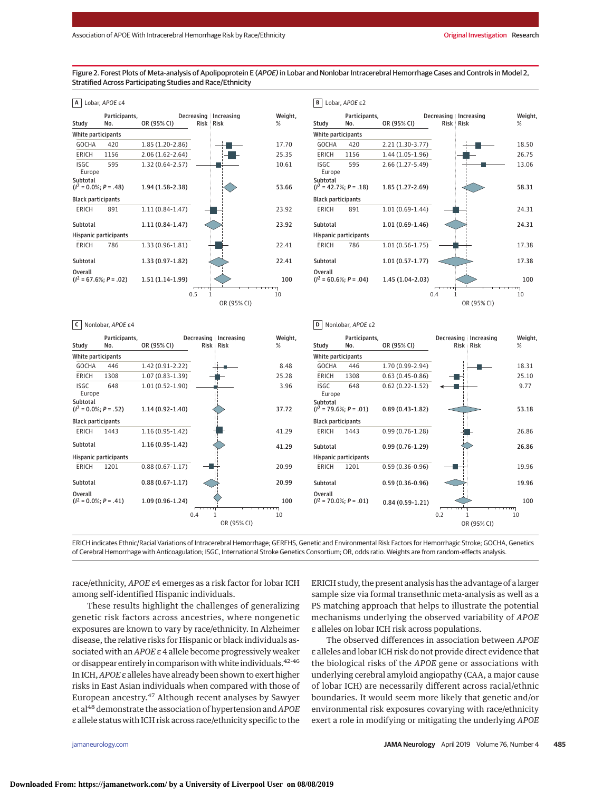Figure 2. Forest Plots of Meta-analysis of Apolipoprotein E (APOE) in Lobar and Nonlobar Intracerebral Hemorrhage Cases and Controls in Model 2, Stratified Across Participating Studies and Race/Ethnicity



| В                         | Lobar, APOE ε2               |                     |                                 |                                             |                 |
|---------------------------|------------------------------|---------------------|---------------------------------|---------------------------------------------|-----------------|
| Study                     | Participants,<br>No.         | OR (95% CI)         |                                 | Decreasing   Increasing<br><b>Risk Risk</b> | Weight,<br>$\%$ |
| White participants        |                              |                     |                                 |                                             |                 |
| GOCHA                     | 420                          | $2.21(1.30-3.77)$   |                                 |                                             | 18.50           |
| <b>ERICH</b>              | 1156                         | $1.44(1.05-1.96)$   |                                 |                                             | 26.75           |
| <b>ISGC</b><br>Europe     | 595                          | $2.66(1.27-5.49)$   |                                 |                                             | 13.06           |
| Subtotal                  | $(I^2 = 42.7\%; P = .18)$    | 1.85 (1.27-2.69)    |                                 |                                             | 58.31           |
| <b>Black participants</b> |                              |                     |                                 |                                             |                 |
| ERICH                     | 891                          | $1.01(0.69-1.44)$   |                                 |                                             | 24.31           |
| Subtotal                  |                              | $1.01(0.69-1.46)$   |                                 |                                             | 24.31           |
|                           | <b>Hispanic participants</b> |                     |                                 |                                             |                 |
| ERICH                     | 786                          | $1.01(0.56 - 1.75)$ |                                 |                                             | 17.38           |
| Subtotal                  |                              | $1.01(0.57-1.77)$   |                                 |                                             | 17.38           |
| Overall                   | $(I^2 = 60.6\%; P = .04)$    | 1.45 (1.04-2.03)    |                                 |                                             | 100             |
|                           |                              |                     | $\overline{\phantom{a}}$<br>0.4 | 1                                           | गगग<br>10       |
|                           |                              |                     |                                 | OR (95% CI)                                 |                 |

| Nonlobar, APOE ε4<br>c               |                       |                     |        |                                      | Nonlobar, APOE ε2<br>D |                                       |                      |                     |                       |             |              |
|--------------------------------------|-----------------------|---------------------|--------|--------------------------------------|------------------------|---------------------------------------|----------------------|---------------------|-----------------------|-------------|--------------|
| Study                                | Participants,<br>No.  | OR (95% CI)         |        | Decreasing   Increasing<br>Risk Risk | Weight,<br>%           | Study                                 | Participants,<br>No. | OR (95% CI)         | Decreasing Increasing | Risk Risk   | Weight,<br>% |
| White participants                   |                       |                     |        |                                      |                        | White participants                    |                      |                     |                       |             |              |
| GOCHA                                | 446                   | $1.42(0.91-2.22)$   |        |                                      | 8.48                   | <b>GOCHA</b>                          | 446                  | 1.70 (0.99-2.94)    |                       |             | 18.31        |
| ERICH                                | 1308                  | $1.07(0.83 - 1.39)$ |        |                                      | 25.28                  | ERICH                                 | 1308                 | $0.63(0.45-0.86)$   |                       |             | 25.10        |
| <b>ISGC</b><br>Europe                | 648                   | $1.01(0.52 - 1.90)$ |        |                                      | 3.96                   | ISGC<br>Europe                        | 648                  | $0.62(0.22 - 1.52)$ |                       |             | 9.77         |
| Subtotal<br>$(I^2 = 0.0\%; P = .52)$ |                       | $1.14(0.92 - 1.40)$ |        |                                      | 37.72                  | Subtotal<br>$(I^2 = 79.6\%; P = .01)$ |                      | $0.89(0.43 - 1.82)$ |                       |             | 53.18        |
| <b>Black participants</b>            |                       |                     |        |                                      |                        | <b>Black participants</b>             |                      |                     |                       |             |              |
| ERICH                                | 1443                  | $1.16(0.95 - 1.42)$ |        |                                      | 41.29                  | ERICH                                 | 1443                 | $0.99(0.76 - 1.28)$ |                       |             | 26.86        |
| Subtotal                             |                       | $1.16(0.95-1.42)$   |        |                                      | 41.29                  | Subtotal                              |                      | $0.99(0.76 - 1.29)$ |                       |             | 26.86        |
|                                      | Hispanic participants |                     |        |                                      |                        | <b>Hispanic participants</b>          |                      |                     |                       |             |              |
| ERICH                                | 1201                  | $0.88(0.67 - 1.17)$ |        |                                      | 20.99                  | ERICH                                 | 1201                 | $0.59(0.36 - 0.96)$ |                       |             | 19.96        |
| Subtotal                             |                       | $0.88(0.67 - 1.17)$ |        |                                      | 20.99                  | Subtotal                              |                      | $0.59(0.36-0.96)$   |                       |             | 19.96        |
| Overall<br>$(I^2 = 0.0\%; P = .41)$  |                       | $1.09(0.96 - 1.24)$ | $\Box$ |                                      | 100                    | Overall<br>$(I^2 = 70.0\%; P = .01)$  |                      | $0.84(0.59-1.21)$   |                       |             | 100          |
|                                      |                       |                     | 0.4    |                                      | 10                     |                                       |                      |                     | 0.2                   |             | 10           |
|                                      |                       |                     |        | OR (95% CI)                          |                        |                                       |                      |                     |                       | OR (95% CI) |              |

ERICH indicates Ethnic/Racial Variations of Intracerebral Hemorrhage; GERFHS, Genetic and Environmental Risk Factors for Hemorrhagic Stroke; GOCHA, Genetics of Cerebral Hemorrhage with Anticoagulation; ISGC, International Stroke Genetics Consortium; OR, odds ratio. Weights are from random-effects analysis.

race/ethnicity, *APOE* ε4 emerges as a risk factor for lobar ICH among self-identified Hispanic individuals.

These results highlight the challenges of generalizing genetic risk factors across ancestries, where nongenetic exposures are known to vary by race/ethnicity. In Alzheimer disease, the relative risks for Hispanic or black individuals associated with an *APOE* ε 4 allele become progressively weaker or disappear entirely in comparison with white individuals.<sup>42-46</sup> In ICH, *APOE*ε alleles have already been shown to exert higher risks in East Asian individuals when compared with those of European ancestry.<sup>47</sup> Although recent analyses by Sawyer et al<sup>48</sup> demonstrate the association of hypertension and *APOE* ε allele status with ICH risk across race/ethnicity specific to the

ERICH study, the present analysis has the advantage of a larger sample size via formal transethnic meta-analysis as well as a PS matching approach that helps to illustrate the potential mechanisms underlying the observed variability of *APOE* ε alleles on lobar ICH risk across populations.

The observed differences in association between *APOE* ε alleles and lobar ICH risk do not provide direct evidence that the biological risks of the *APOE* gene or associations with underlying cerebral amyloid angiopathy (CAA, a major cause of lobar ICH) are necessarily different across racial/ethnic boundaries. It would seem more likely that genetic and/or environmental risk exposures covarying with race/ethnicity exert a role in modifying or mitigating the underlying *APOE*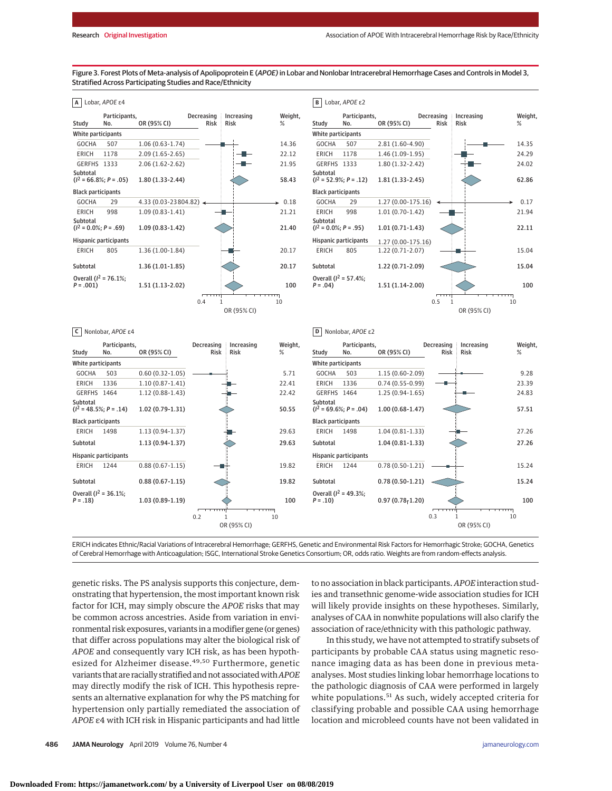Decreasing Risk

GOCHA 507 2.81 (1.60-4.90) 14.35 ERICH 1178 1.46 (1.09-1.95) - - 24.29 GERFHS 1333 1.80 (1.32-2.42)  $\frac{1}{2}$  24.02

 $(l^2 = 52.9\%; P = .12)$  1.81 (1.33-2.45) 62.86

ERICH 998 1.01 (0.70-1.42) - 1 21.94

(*I* 2 = 0.0%; *P* = .95) 22.11

ERICH 805 1.22 (0.71-2.07)  $\longrightarrow$  15.04

1.51 (1.14-2.00) *P* = .04) 100

Study No. OR (95% CI) Risk Risk

1.81 (1.33-2.45)

1.27 (0.00-175.16)

1.01 (0.71-1.43)

GOCHA 29 1.27 (0.00-175.16)

Participants,

Increasing

 $0.5 \quad 1$  10 OR (95% CI)

Weight, %

0.17



Subtotal

Subtotal

Overall (*I* 2 = 57.4%;



| $\overline{c}$                        | Nonlobar, APOE ε4         |                     |                                                 |              | D                         | Nonlobar, APOE ε2            |                              |                                          |                |
|---------------------------------------|---------------------------|---------------------|-------------------------------------------------|--------------|---------------------------|------------------------------|------------------------------|------------------------------------------|----------------|
| Study                                 | Participants,<br>No.      | OR (95% CI)         | Decreasing<br>Increasing<br><b>Risk</b><br>Risk | Weight,<br>% | Study                     | Participants,<br>No.         | OR (95% CI)                  | Decreasing<br>Increasing<br>Risk<br>Risk | Weight,<br>%   |
| White participants                    |                           |                     |                                                 |              | White participants        |                              |                              |                                          |                |
| GOCHA                                 | 503                       | $0.60(0.32 - 1.05)$ |                                                 | 5.71         | GOCHA                     | 503                          | $1.15(0.60-2.09)$            |                                          | 9.28           |
| ERICH                                 | 1336                      | $1.10(0.87-1.41)$   |                                                 | 22.41        | ERICH                     | 1336                         | $0.74(0.55-0.99)$            |                                          | 23.39          |
| GERFHS 1464                           |                           | $1.12(0.88-1.43)$   |                                                 | 22.42        | GERFHS                    | 1464                         | $1.25(0.94-1.65)$            |                                          | 24.83          |
| Subtotal                              | $(I^2 = 48.5\%; P = .14)$ | $1.02(0.79-1.31)$   |                                                 | 50.55        | Subtotal                  | $(I^2 = 69.6\%; P = .04)$    | $1.00(0.68-1.47)$            |                                          | 57.51          |
| <b>Black participants</b>             |                           |                     |                                                 |              | <b>Black participants</b> |                              |                              |                                          |                |
| ERICH                                 | 1498                      | $1.13(0.94-1.37)$   |                                                 | 29.63        | ERICH                     | 1498                         | $1.04(0.81 - 1.33)$          |                                          | 27.26          |
| Subtotal                              |                           | $1.13(0.94-1.37)$   |                                                 | 29.63        | Subtotal                  |                              | $1.04(0.81 - 1.33)$          |                                          | 27.26          |
|                                       | Hispanic participants     |                     |                                                 |              |                           | <b>Hispanic participants</b> |                              |                                          |                |
| ERICH                                 | 1244                      | $0.88(0.67 - 1.15)$ |                                                 | 19.82        | ERICH                     | 1244                         | $0.78(0.50-1.21)$            |                                          | 15.24          |
| Subtotal                              |                           | $0.88(0.67 - 1.15)$ |                                                 | 19.82        | Subtotal                  |                              | $0.78(0.50-1.21)$            |                                          | 15.24          |
| Overall ( $I^2$ = 36.1%;<br>$P = .18$ |                           | $1.03(0.89-1.19)$   |                                                 | 100          | $P = .10$                 | Overall ( $I^2$ = 49.3%;     | 0.97(0.78 <sub>r</sub> 1.20) |                                          | 100            |
|                                       |                           |                     | 0.2                                             | 10           |                           |                              |                              | $\overline{\phantom{a}}$<br>0.3          | <b>.</b><br>10 |
|                                       |                           |                     | OR (95% CI)                                     |              |                           |                              |                              | OR (95% CI)                              |                |
|                                       |                           |                     |                                                 |              |                           |                              |                              |                                          |                |

ERICH indicates Ethnic/Racial Variations of Intracerebral Hemorrhage; GERFHS, Genetic and Environmental Risk Factors for Hemorrhagic Stroke; GOCHA, Genetics of Cerebral Hemorrhage with Anticoagulation; ISGC, International Stroke Genetics Consortium; OR, odds ratio. Weights are from random-effects analysis.

genetic risks. The PS analysis supports this conjecture, demonstrating that hypertension, the most important known risk factor for ICH, may simply obscure the *APOE* risks that may be common across ancestries. Aside from variation in environmental risk exposures, variants in amodifier gene (or genes) that differ across populations may alter the biological risk of *APOE* and consequently vary ICH risk, as has been hypothesized for Alzheimer disease.<sup>49,50</sup> Furthermore, genetic variants that are racially stratified and not associated with APOE may directly modify the risk of ICH. This hypothesis represents an alternative explanation for why the PS matching for hypertension only partially remediated the association of *APOE* ε4 with ICH risk in Hispanic participants and had little to no association in black participants. *APOE* interaction studies and transethnic genome-wide association studies for ICH will likely provide insights on these hypotheses. Similarly, analyses of CAA in nonwhite populations will also clarify the association of race/ethnicity with this pathologic pathway.

In this study, we have not attempted to stratify subsets of participants by probable CAA status using magnetic resonance imaging data as has been done in previous metaanalyses. Most studies linking lobar hemorrhage locations to the pathologic diagnosis of CAA were performed in largely white populations.<sup>51</sup> As such, widely accepted criteria for classifying probable and possible CAA using hemorrhage location and microbleed counts have not been validated in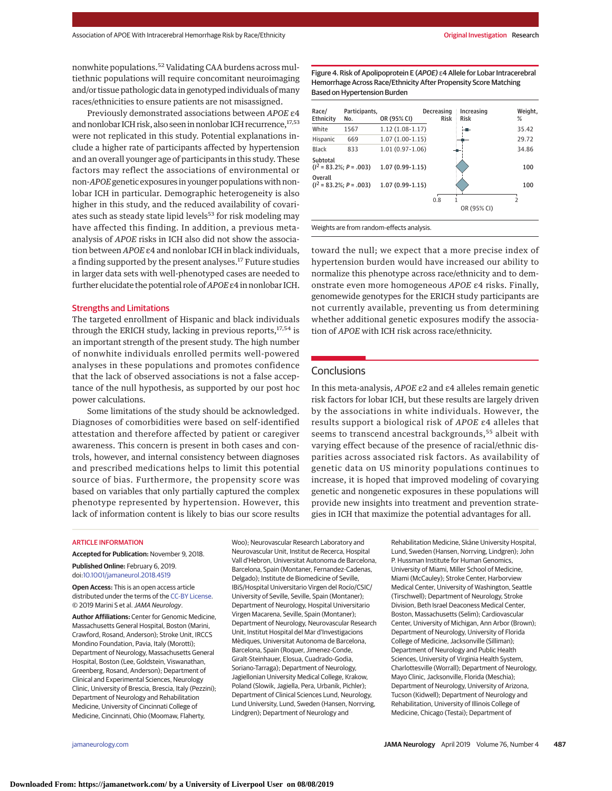nonwhite populations.<sup>52</sup> Validating CAA burdens across multiethnic populations will require concomitant neuroimaging and/or tissue pathologic data in genotyped individuals of many races/ethnicities to ensure patients are not misassigned.

Previously demonstrated associations between *APOE* ε4 and nonlobar ICH risk, also seen in nonlobar ICH recurrence, 17,53 were not replicated in this study. Potential explanations include a higher rate of participants affected by hypertension and an overall younger age of participants in this study. These factors may reflect the associations of environmental or non-*APOE*genetic exposures in younger populations with nonlobar ICH in particular. Demographic heterogeneity is also higher in this study, and the reduced availability of covariates such as steady state lipid levels<sup>53</sup> for risk modeling may have affected this finding. In addition, a previous metaanalysis of *APOE* risks in ICH also did not show the association between *APOE* ε4 and nonlobar ICH in black individuals, a finding supported by the present analyses.<sup>17</sup> Future studies in larger data sets with well-phenotyped cases are needed to further elucidate the potential role of *APOE*ε4 in nonlobar ICH.

### Strengths and Limitations

The targeted enrollment of Hispanic and black individuals through the ERICH study, lacking in previous reports,<sup>17,54</sup> is an important strength of the present study. The high number of nonwhite individuals enrolled permits well-powered analyses in these populations and promotes confidence that the lack of observed associations is not a false acceptance of the null hypothesis, as supported by our post hoc power calculations.

Some limitations of the study should be acknowledged. Diagnoses of comorbidities were based on self-identified attestation and therefore affected by patient or caregiver awareness. This concern is present in both cases and controls, however, and internal consistency between diagnoses and prescribed medications helps to limit this potential source of bias. Furthermore, the propensity score was based on variables that only partially captured the complex phenotype represented by hypertension. However, this lack of information content is likely to bias our score results

#### **ARTICLE INFORMATION**

**Accepted for Publication:** November 9, 2018.

**Published Online:** February 6, 2019. doi[:10.1001/jamaneurol.2018.4519](https://jama.jamanetwork.com/article.aspx?doi=10.1001/jamaneurol.2018.4519&utm_campaign=articlePDF%26utm_medium=articlePDFlink%26utm_source=articlePDF%26utm_content=jamaneurol.2018.4519)

**Open Access:** This is an open access article distributed under the terms of the [CC-BY License.](https://jamanetwork.com/journals/jamaneurology/pages/instructions-for-authors/?utm_campaign=articlePDF%26utm_medium=articlePDFlink%26utm_source=articlePDF%26utm_content=jamaneurol.2018.4519#SecOpenAccess) © 2019 Marini S et al.JAMA Neurology.

**Author Affiliations:** Center for Genomic Medicine, Massachusetts General Hospital, Boston (Marini, Crawford, Rosand, Anderson); Stroke Unit, IRCCS Mondino Foundation, Pavia, Italy (Morotti); Department of Neurology, Massachusetts General Hospital, Boston (Lee, Goldstein, Viswanathan, Greenberg, Rosand, Anderson); Department of Clinical and Experimental Sciences, Neurology Clinic, University of Brescia, Brescia, Italy (Pezzini); Department of Neurology and Rehabilitation Medicine, University of Cincinnati College of Medicine, Cincinnati, Ohio (Moomaw, Flaherty,

Woo); Neurovascular Research Laboratory and Neurovascular Unit, Institut de Recerca, Hospital Vall d'Hebron, Universitat Autonoma de Barcelona, Barcelona, Spain (Montaner, Fernandez-Cadenas, Delgado); Institute de Biomedicine of Seville, IBiS/Hospital Universitario Virgen del Rocío/CSIC/ University of Seville, Seville, Spain (Montaner); Department of Neurology, Hospital Universitario Virgen Macarena, Seville, Spain (Montaner); Department of Neurology, Neurovascular Research Unit, Institut Hospital del Mar d'Investigacions Mèdiques, Universitat Autonoma de Barcelona, Barcelona, Spain (Roquer, Jimenez-Conde, Giralt-Steinhauer, Elosua, Cuadrado-Godia, Soriano-Tarraga); Department of Neurology, Jagiellonian University Medical College, Krakow, Poland (Slowik, Jagiella, Pera, Urbanik, Pichler); Department of Clinical Sciences Lund, Neurology, Lund University, Lund, Sweden (Hansen, Norrving, Lindgren); Department of Neurology and

Figure 4. Risk of Apolipoprotein E (APOE) ε4 Allele for Lobar Intracerebral Hemorrhage Across Race/Ethnicity After Propensity Score Matching Based on Hypertension Burden

| Race/<br>Ethnicity | Participants,<br>No.        | OR (95% CI)         | Decreasing<br>Risk | Increasing<br>Risk | Weight,<br>$\%$ |
|--------------------|-----------------------------|---------------------|--------------------|--------------------|-----------------|
| White              | 1567                        | $1.12(1.08-1.17)$   |                    | Lъ                 | 35.42           |
| Hispanic           | 669                         | $1.07(1.00-1.15)$   |                    |                    | 29.72           |
| Black              | 833                         | $1.01(0.97-1.06)$   |                    |                    | 34.86           |
| Subtotal           | $(I^2 = 83.2\% : P = .003)$ | $1.07(0.99 - 1.15)$ |                    |                    | 100             |
| Overall            | $(I^2 = 83.2\% : P = .003)$ | $1.07(0.99 - 1.15)$ |                    |                    | 100             |
|                    |                             |                     | 0.8                | OR (95% CI)        | 2               |

Weights are from random-effects analysis.

toward the null; we expect that a more precise index of hypertension burden would have increased our ability to normalize this phenotype across race/ethnicity and to demonstrate even more homogeneous *APOE* ε4 risks. Finally, genomewide genotypes for the ERICH study participants are not currently available, preventing us from determining whether additional genetic exposures modify the association of *APOE* with ICH risk across race/ethnicity.

## **Conclusions**

In this meta-analysis, *APOE* ε2 and ε4 alleles remain genetic risk factors for lobar ICH, but these results are largely driven by the associations in white individuals. However, the results support a biological risk of *APOE* ε4 alleles that seems to transcend ancestral backgrounds,<sup>55</sup> albeit with varying effect because of the presence of racial/ethnic disparities across associated risk factors. As availability of genetic data on US minority populations continues to increase, it is hoped that improved modeling of covarying genetic and nongenetic exposures in these populations will provide new insights into treatment and prevention strategies in ICH that maximize the potential advantages for all.

> Rehabilitation Medicine, Skåne University Hospital, Lund, Sweden (Hansen, Norrving, Lindgren); John P. Hussman Institute for Human Genomics, University of Miami, Miller School of Medicine, Miami (McCauley); Stroke Center, Harborview Medical Center, University of Washington, Seattle (Tirschwell); Department of Neurology, Stroke Division, Beth Israel Deaconess Medical Center, Boston, Massachusetts (Selim); Cardiovascular Center, University of Michigan, Ann Arbor (Brown); Department of Neurology, University of Florida College of Medicine, Jacksonville (Silliman); Department of Neurology and Public Health Sciences, University of Virginia Health System, Charlottesville (Worrall); Department of Neurology, Mayo Clinic, Jacksonville, Florida (Meschia); Department of Neurology, University of Arizona, Tucson (Kidwell); Department of Neurology and Rehabilitation, University of Illinois College of Medicine, Chicago (Testai); Department of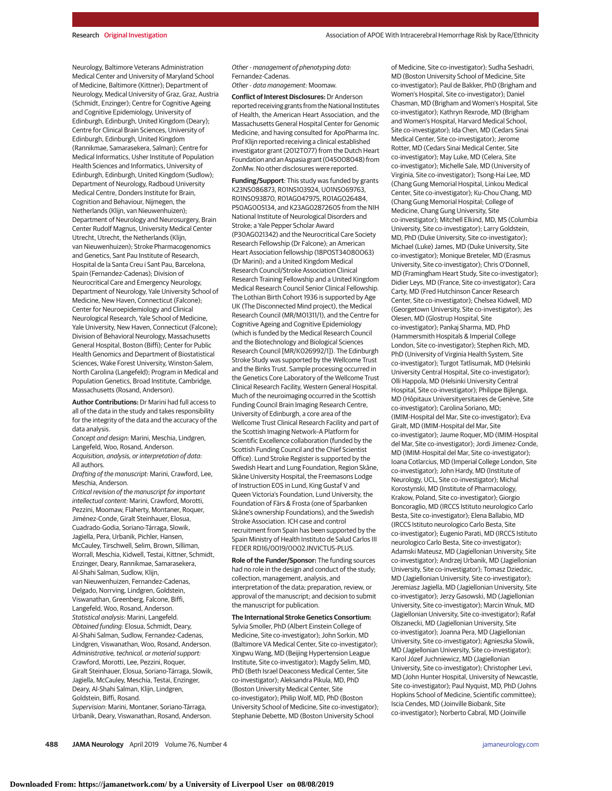Neurology, Baltimore Veterans Administration Medical Center and University of Maryland School of Medicine, Baltimore (Kittner); Department of Neurology, Medical University of Graz, Graz, Austria (Schmidt, Enzinger); Centre for Cognitive Ageing and Cognitive Epidemiology, University of Edinburgh, Edinburgh, United Kingdom (Deary); Centre for Clinical Brain Sciences, University of Edinburgh, Edinburgh, United Kingdom (Rannikmae, Samarasekera, Salman); Centre for Medical Informatics, Usher Institute of Population Health Sciences and Informatics, University of Edinburgh, Edinburgh, United Kingdom (Sudlow); Department of Neurology, Radboud University Medical Centre, Donders Institute for Brain, Cognition and Behaviour, Nijmegen, the Netherlands (Klijn, van Nieuwenhuizen); Department of Neurology and Neurosurgery, Brain Center Rudolf Magnus, University Medical Center Utrecht, Utrecht, the Netherlands (Klijn, van Nieuwenhuizen); Stroke Pharmacogenomics and Genetics, Sant Pau Institute of Research, Hospital de la Santa Creu i Sant Pau, Barcelona, Spain (Fernandez-Cadenas); Division of Neurocritical Care and Emergency Neurology, Department of Neurology, Yale University School of Medicine, New Haven, Connecticut (Falcone); Center for Neuroepidemiology and Clinical Neurological Research, Yale School of Medicine, Yale University, New Haven, Connecticut (Falcone); Division of Behavioral Neurology, Massachusetts General Hospital, Boston (Biffi); Center for Public Health Genomics and Department of Biostatistical Sciences, Wake Forest University, Winston-Salem, North Carolina (Langefeld); Program in Medical and Population Genetics, Broad Institute, Cambridge, Massachusetts (Rosand, Anderson).

**Author Contributions:** Dr Marini had full access to all of the data in the study and takes responsibility for the integrity of the data and the accuracy of the data analysis.

Concept and design: Marini, Meschia, Lindgren, Langefeld, Woo, Rosand, Anderson. Acquisition, analysis, or interpretation of data:

All authors.

Drafting of the manuscript: Marini, Crawford, Lee, Meschia, Anderson.

Critical revision of the manuscript for important intellectual content: Marini, Crawford, Morotti, Pezzini, Moomaw, Flaherty, Montaner, Roquer, Jiménez-Conde, Giralt Steinhauer, Elosua, Cuadrado-Godia, Soriano-Tárraga, Slowik, Jagiella, Pera, Urbanik, Pichler, Hansen, McCauley, Tirschwell, Selim, Brown, Silliman, Worrall, Meschia, Kidwell, Testai, Kittner, Schmidt, Enzinger, Deary, Rannikmae, Samarasekera, Al-Shahi Salman, Sudlow, Klijn, van Nieuwenhuizen, Fernandez-Cadenas, Delgado, Norrving, Lindgren, Goldstein, Viswanathan, Greenberg, Falcone, Biffi, Langefeld, Woo, Rosand, Anderson. Statistical analysis: Marini, Langefeld. Obtained funding: Elosua, Schmidt, Deary, Al-Shahi Salman, Sudlow, Fernandez-Cadenas, Lindgren, Viswanathan, Woo, Rosand, Anderson. Administrative, technical, or material support: Crawford, Morotti, Lee, Pezzini, Roquer, Giralt Steinhauer, Elosua, Soriano-Tárraga, Slowik, Jagiella, McCauley, Meschia, Testai, Enzinger, Deary, Al-Shahi Salman, Klijn, Lindgren, Goldstein, Biffi, Rosand. Supervision: Marini, Montaner, Soriano-Tárraga,

Urbanik, Deary, Viswanathan, Rosand, Anderson.

Other - management of phenotyping data: Fernandez-Cadenas. Other - data management: Moomaw.

**Conflict of Interest Disclosures:** Dr Anderson reported receiving grants from the National Institutes of Health, the American Heart Association, and the Massachusetts General Hospital Center for Genomic Medicine, and having consulted for ApoPharma Inc. Prof Klijn reported receiving a clinical established investigator grant (2012T077) from the Dutch Heart

Foundation and an Aspasia grant (045008048) from

ZonMw. No other disclosures were reported. **Funding/Support**: This study was funded by grants K23NS086873, R01NS103924, U01NS069763, R01NS093870, R01AG047975, R01AG026484, P50AG005134, and K23AG02872605 from the NIH National Institute of Neurological Disorders and Stroke; a Yale Pepper Scholar Award (P30AG021342) and the Neurocritical Care Society Research Fellowship (Dr Falcone); an American Heart Association fellowship (18POST34080063) (Dr Marini); and a United Kingdom Medical Research Council/Stroke Association Clinical Research Training Fellowship and a United Kingdom Medical Research Council Senior Clinical Fellowship. The Lothian Birth Cohort 1936 is supported by Age UK (The Disconnected Mind project), the Medical Research Council (MR/M01311/1), and the Centre for Cognitive Ageing and Cognitive Epidemiology (which is funded by the Medical Research Council and the Biotechnology and Biological Sciences Research Council [MR/K026992/1]). The Edinburgh Stroke Study was supported by the Wellcome Trust and the Binks Trust. Sample processing occurred in the Genetics Core Laboratory of the Wellcome Trust Clinical Research Facility, Western General Hospital. Much of the neuroimaging occurred in the Scottish Funding Council Brain Imaging Research Centre, University of Edinburgh, a core area of the Wellcome Trust Clinical Research Facility and part of the Scottish Imaging Network–A Platform for Scientific Excellence collaboration (funded by the Scottish Funding Council and the Chief Scientist Office). Lund Stroke Register is supported by the Swedish Heart and Lung Foundation, Region Skåne, Skåne University Hospital, the Freemasons Lodge of Instruction EOS in Lund, King Gustaf V and Queen Victoria's Foundation, Lund University, the Foundation of Färs & Frosta (one of Sparbanken Skåne's ownership Foundations), and the Swedish Stroke Association. ICH case and control recruitment from Spain has been supported by the Spain Ministry of Health Instituto de Salud Carlos III FEDER RD16/0019/0002.INVICTUS-PLUS.

**Role of the Funder/Sponsor:** The funding sources had no role in the design and conduct of the study; collection, management, analysis, and interpretation of the data; preparation, review, or approval of the manuscript; and decision to submit the manuscript for publication.

**The International Stroke Genetics Consortium:** Sylvia Smoller, PhD (Albert Einstein College of Medicine, Site co-investigator); John Sorkin, MD (Baltimore VA Medical Center, Site co-investigator); Xingwu Wang, MD (Beijing Hypertension League Institute, Site co-investigator); Magdy Selim, MD, PhD (Beth Israel Deaconess Medical Center, Site co-investigator); Aleksandra Pikula, MD, PhD (Boston University Medical Center, Site co-investigator); Philip Wolf, MD, PhD (Boston University School of Medicine, Site co-investigator); Stephanie Debette, MD (Boston University School

of Medicine, Site co-investigator); Sudha Seshadri, MD (Boston University School of Medicine, Site co-investigator); Paul de Bakker, PhD (Brigham and Women's Hospital, Site co-investigator); Daniel Chasman, MD (Brigham and Women's Hospital, Site co-investigator); Kathryn Rexrode, MD (Brigham and Women's Hospital, Harvard Medical School, Site co-investigator); Ida Chen, MD (Cedars Sinai Medical Center, Site co-investigator); Jerome Rotter, MD (Cedars Sinai Medical Center, Site co-investigator); May Luke, MD (Celera, Site co-investigator); Michelle Sale, MD (University of Virginia, Site co-investigator); Tsong-Hai Lee, MD (Chang Gung Memorial Hospital, Linkou Medical Center, Site co-investigator); Ku-Chou Chang, MD (Chang Gung Memorial Hospital; College of Medicine, Chang Gung University, Site co-investigator); Mitchell Elkind, MD, MS (Columbia University, Site co-investigator); Larry Goldstein, MD, PhD (Duke University, Site co-investigator); Michael (Luke) James, MD (Duke University, Site co-investigator); Monique Breteler, MD (Erasmus University, Site co-investigator); Chris O'Donnell, MD (Framingham Heart Study, Site co-investigator); Didier Leys, MD (France, Site co-investigator); Cara Carty, MD (Fred Hutchinson Cancer Research Center, Site co-investigator); Chelsea Kidwell, MD (Georgetown University, Site co-investigator); Jes Olesen, MD (Glostrup Hospital, Site co-investigator); Pankaj Sharma, MD, PhD (Hammersmith Hospitals & Imperial College London, Site co-investigator); Stephen Rich, MD, PhD (University of Virginia Health System, Site co-investigator); Turgot Tatlisumak, MD (Helsinki University Central Hospital, Site co-investigator); Olli Happola, MD (Helsinki University Central Hospital, Site co-investigator); Philippe Bijlenga, MD (Hôpitaux Universityersitaires de Genève, Site co-investigator); Carolina Soriano, MD; (IMIM-Hospital del Mar, Site co-investigator); Eva Giralt, MD (IMIM-Hospital del Mar, Site co-investigator); Jaume Roquer, MD (IMIM-Hospital del Mar, Site co-investigator); Jordi Jimenez-Conde, MD (IMIM-Hospital del Mar, Site co-investigator); Ioana Cotlarcius, MD (Imperial College London, Site co-investigator); John Hardy, MD (Institute of Neurology, UCL, Site co-investigator); Michal Korostynski, MD (Institute of Pharmacology, Krakow, Poland, Site co-investigator); Giorgio Boncoraglio, MD (IRCCS Istituto neurologico Carlo Besta, Site co-investigator); Elena Ballabio, MD (IRCCS Istituto neurologico Carlo Besta, Site co-investigator); Eugenio Parati, MD (IRCCS Istituto neurologico Carlo Besta, Site co-investigator); Adamski Mateusz, MD (Jagiellonian University, Site co-investigator); Andrzej Urbanik, MD (Jagiellonian University, Site co-investigator); Tomasz Dziedzic, MD (Jagiellonian University, Site co-investigator); Jeremiasz Jagiella, MD (Jagiellonian University, Site co-investigator); Jerzy Gasowski, MD (Jagiellonian University, Site co-investigator); Marcin Wnuk, MD (Jagiellonian University, Site co-investigator); Rafał Olszanecki, MD (Jagiellonian University, Site co-investigator); Joanna Pera, MD (Jagiellonian University, Site co-investigator); Agnieszka Slowik, MD (Jagiellonian University, Site co-investigator); Karol Józef Juchniewicz, MD (Jagiellonian University, Site co-investigator); Christopher Levi, MD (John Hunter Hospital, University of Newcastle, Site co-investigator); Paul Nyquist, MD, PhD (Johns Hopkins School of Medicine, Scientific committee); Iscia Cendes, MD (Joinville Biobank, Site co-investigator); Norberto Cabral, MD (Joinville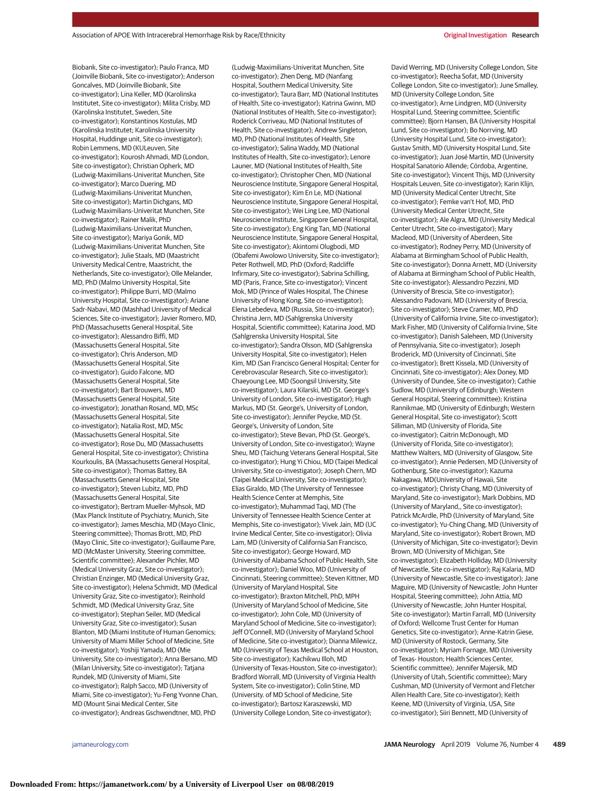Biobank, Site co-investigator); Paulo Franca, MD

(Joinville Biobank, Site co-investigator); Anderson Goncalves, MD (Joinville Biobank, Site co-investigator); Lina Keller, MD (Karolinska Institutet, Site co-investigator); Milita Crisby, MD (Karolinska Institutet, Sweden, Site co-investigator); Konstantinos Kostulas, MD (Karolinska Institutet; Karolinska University Hospital, Huddinge unit, Site co-investigator); Robin Lemmens, MD (KULeuven, Site co-investigator); Kourosh Ahmadi, MD (London, Site co-investigator); Christian Opherk, MD (Ludwig-Maximilians-Univeritat Munchen, Site co-investigator); Marco Duering, MD (Ludwig-Maximilians-Univeritat Munchen, Site co-investigator); Martin Dichgans, MD (Ludwig-Maximilians-Univeritat Munchen, Site co-investigator); Rainer Malik, PhD (Ludwig-Maximilians-Univeritat Munchen, Site co-investigator); Mariya Gonik, MD (Ludwig-Maximilians-Univeritat Munchen, Site co-investigator); Julie Staals, MD (Maastricht University Medical Centre, Maastricht, the Netherlands, Site co-investigator); Olle Melander, MD, PhD (Malmo University Hospital, Site co-investigator); Philippe Burri, MD (Malmo University Hospital, Site co-investigator); Ariane Sadr-Nabavi, MD (Mashhad University of Medical Sciences, Site co-investigator); Javier Romero, MD, PhD (Massachusetts General Hospital, Site co-investigator); Alessandro Biffi, MD (Massachusetts General Hospital, Site co-investigator); Chris Anderson, MD (Massachusetts General Hospital, Site co-investigator); Guido Falcone, MD (Massachusetts General Hospital, Site co-investigator); Bart Brouwers, MD (Massachusetts General Hospital, Site co-investigator); Jonathan Rosand, MD, MSc (Massachusetts General Hospital, Site co-investigator); Natalia Rost, MD, MSc (Massachusetts General Hospital, Site co-investigator); Rose Du, MD (Massachusetts General Hospital, Site co-investigator); Christina Kourkoulis, BA (Massachusetts General Hospital, Site co-investigator); Thomas Battey, BA (Massachusetts General Hospital, Site co-investigator); Steven Lubitz, MD, PhD (Massachusetts General Hospital, Site co-investigator); Bertram Mueller-Myhsok, MD (Max Planck Institute of Psychiatry, Munich, Site co-investigator); James Meschia, MD (Mayo Clinic, Steering committee); Thomas Brott, MD, PhD (Mayo Clinic, Site co-investigator); Guillaume Pare, MD (McMaster University, Steering committee, Scientific committee); Alexander Pichler, MD (Medical University Graz, Site co-investigator); Christian Enzinger, MD (Medical University Graz, Site co-investigator); Helena Schmidt, MD (Medical University Graz, Site co-investigator); Reinhold Schmidt, MD (Medical University Graz, Site co-investigator); Stephan Seiler, MD (Medical University Graz, Site co-investigator); Susan Blanton, MD (Miami Institute of Human Genomics; University of Miami Miller School of Medicine, Site co-investigator); Yoshiji Yamada, MD (Mie University, Site co-investigator); Anna Bersano, MD (Milan University, Site co-investigator); Tatjana Rundek, MD (University of Miami, Site co-investigator); Ralph Sacco, MD (University of Miami, Site co-investigator); Yu-Feng Yvonne Chan, MD (Mount Sinai Medical Center, Site co-investigator); Andreas Gschwendtner, MD, PhD

(Ludwig-Maximilians-Univeritat Munchen, Site co-investigator); Zhen Deng, MD (Nanfang Hospital, Southern Medical University, Site co-investigator); Taura Barr, MD (National Institutes of Health, Site co-investigator); Katrina Gwinn, MD (National Institutes of Health, Site co-investigator); Roderick Corriveau, MD (National Institutes of Health, Site co-investigator); Andrew Singleton, MD, PhD (National Institutes of Health, Site co-investigator); Salina Waddy, MD (National Institutes of Health, Site co-investigator); Lenore Launer, MD (National Institutes of Health, Site co-investigator); Christopher Chen, MD (National Neuroscience Institute, Singapore General Hospital, Site co-investigator); Kim En Le, MD (National Neuroscience Institute, Singapore General Hospital, Site co-investigator); Wei Ling Lee, MD (National Neuroscience Institute, Singapore General Hospital, Site co-investigator); Eng King Tan, MD (National Neuroscience Institute, Singapore General Hospital, Site co-investigator); Akintomi Olugbodi, MD (Obafemi Awolowo University, Site co-investigator); Peter Rothwell, MD, PhD (Oxford; Radcliffe Infirmary, Site co-investigator); Sabrina Schilling, MD (Paris, France, Site co-investigator); Vincent Mok, MD (Prince of Wales Hospital, The Chinese University of Hong Kong, Site co-investigator); Elena Lebedeva, MD (Russia, Site co-investigator); Christina Jern, MD (Sahlgrenska University Hospital, Scientific committee); Katarina Jood, MD (Sahlgrenska University Hospital, Site co-investigator); Sandra Olsson, MD (Sahlgrenska University Hospital, Site co-investigator); Helen Kim, MD (San Francisco General Hospital; Center for Cerebrovascular Research, Site co-investigator); Chaeyoung Lee, MD (Soongsil University, Site co-investigator); Laura Kilarski, MD (St. George's University of London, Site co-investigator); Hugh Markus, MD (St. George's, University of London, Site co-investigator); Jennifer Peycke, MD (St. George's, University of London, Site co-investigator); Steve Bevan, PhD (St. George's, University of London, Site co-investigator); Wayne Sheu, MD (Taichung Veterans General Hospital, Site co-investigator); Hung Yi Chiou, MD (Taipei Medical University, Site co-investigator); Joseph Chern, MD (Taipei Medical University, Site co-investigator); Elias Giraldo, MD (The University of Tennessee Health Science Center at Memphis, Site co-investigator); Muhammad Taqi, MD (The University of Tennessee Health Science Center at Memphis, Site co-investigator); Vivek Jain, MD (UC Irvine Medical Center, Site co-investigator); Olivia Lam, MD (University of California San Francisco, Site co-investigator); George Howard, MD (University of Alabama School of Public Health, Site co-investigator); Daniel Woo, MD (University of Cincinnati, Steering committee); Steven Kittner, MD (University of Maryland Hospital, Site co-investigator); Braxton Mitchell, PhD, MPH (University of Maryland School of Medicine, Site co-investigator); John Cole, MD (University of Maryland School of Medicine, Site co-investigator); Jeff O'Connell, MD (University of Maryland School of Medicine, Site co-investigator); Dianna Milewicz, MD (University of Texas Medical School at Houston, Site co-investigator); Kachikwu Illoh, MD (University of Texas-Houston, Site co-investigator); Bradford Worrall, MD (University of Virginia Health System, Site co-investigator); Colin Stine, MD (University. of MD School of Medicine, Site co-investigator); Bartosz Karaszewski, MD (University College London, Site co-investigator);

David Werring, MD (University College London, Site co-investigator); Reecha Sofat, MD (University College London, Site co-investigator); June Smalley, MD (University College London, Site co-investigator); Arne Lindgren, MD (University Hospital Lund, Steering committee, Scientific committee); Bjorn Hansen, BA (University Hospital Lund, Site co-investigator); Bo Norrving, MD (University Hospital Lund, Site co-investigator); Gustav Smith, MD (University Hospital Lund, Site co-investigator); Juan José Martín, MD (University Hospital Sanatorio Allende; Córdoba, Argentine, Site co-investigator); Vincent Thijs, MD (University Hospitals Leuven, Site co-investigator); Karin Klijn, MD (University Medical Center Utrecht, Site co-investigator); Femke van't Hof, MD, PhD (University Medical Center Utrecht, Site co-investigator); Ale Algra, MD (University Medical Center Utrecht, Site co-investigator); Mary Macleod, MD (University of Aberdeen, Site co-investigator); Rodney Perry, MD (University of Alabama at Birmingham School of Public Health, Site co-investigator); Donna Arnett, MD (University of Alabama at Birmingham School of Public Health, Site co-investigator); Alessandro Pezzini, MD (University of Brescia, Site co-investigator); Alessandro Padovani, MD (University of Brescia, Site co-investigator); Steve Cramer, MD, PhD (University of California Irvine, Site co-investigator); Mark Fisher, MD (University of California Irvine, Site co-investigator); Danish Saleheen, MD (University of Pennsylvania, Site co-investigator); Joseph Broderick, MD (University of Cincinnati, Site co-investigator); Brett Kissela, MD (University of Cincinnati, Site co-investigator); Alex Doney, MD (University of Dundee, Site co-investigator); Cathie Sudlow, MD (University of Edinburgh; Western General Hospital, Steering committee); Kristiina Rannikmae, MD (University of Edinburgh; Western General Hospital, Site co-investigator); Scott Silliman, MD (University of Florida, Site co-investigator); Caitrin McDonough, MD (University of Florida, Site co-investigator); Matthew Walters, MD (University of Glasgow, Site co-investigator); Annie Pedersen, MD (University of Gothenburg, Site co-investigator); Kazuma Nakagawa, MD(University of Hawaii, Site co-investigator); Christy Chang, MD (University of Maryland, Site co-investigator); Mark Dobbins, MD (University of Maryland,, Site co-investigator); Patrick McArdle, PhD (University of Maryland, Site co-investigator); Yu-Ching Chang, MD (University of Maryland, Site co-investigator); Robert Brown, MD (University of Michigan, Site co-investigator); Devin Brown, MD (University of Michigan, Site co-investigator); Elizabeth Holliday, MD (University of Newcastle, Site co-investigator); Raj Kalaria, MD (University of Newcastle, Site co-investigator); Jane Maguire, MD (University of Newcastle; John Hunter Hospital, Steering committee); John Attia, MD (University of Newcastle; John Hunter Hospital, Site co-investigator); Martin Farrall, MD (University of Oxford; Wellcome Trust Center for Human Genetics, Site co-investigator); Anne-Katrin Giese, MD (University of Rostock, Germany, Site co-investigator); Myriam Fornage, MD (University of Texas- Houston; Health Sciences Center, Scientific committee); Jennifer Majersik, MD (University of Utah, Scientific committee); Mary Cushman, MD (University of Vermont and Fletcher Allen Health Care, Site co-investigator); Keith Keene, MD (University of Virginia, USA, Site co-investigator); Siiri Bennett, MD (University of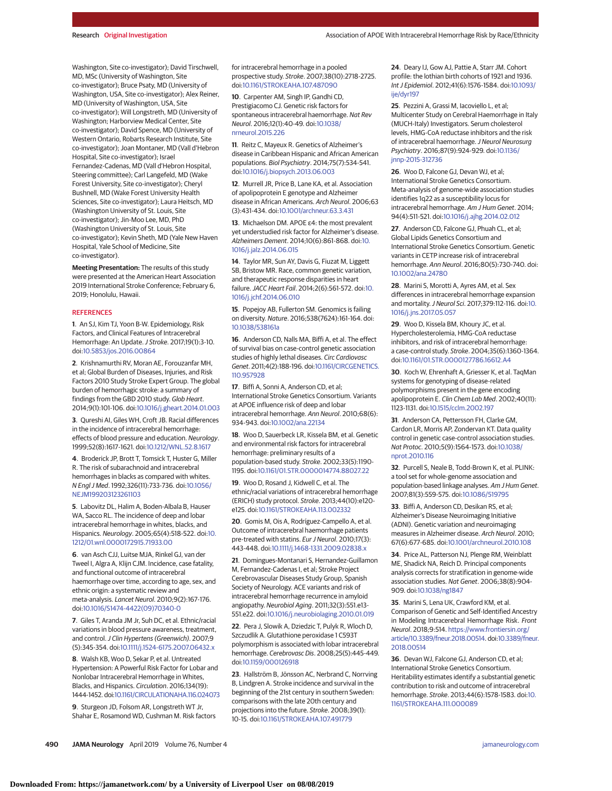Washington, Site co-investigator); David Tirschwell, MD, MSc (University of Washington, Site co-investigator); Bruce Psaty, MD (University of Washington, USA, Site co-investigator); Alex Reiner, MD (University of Washington, USA, Site co-investigator); Will Longstreth, MD (University of Washington; Harborview Medical Center, Site co-investigator); David Spence, MD (University of Western Ontario, Robarts Research Institute, Site co-investigator); Joan Montaner, MD (Vall d'Hebron Hospital, Site co-investigator); Israel Fernandez-Cadenas, MD (Vall d'Hebron Hospital, Steering committee); Carl Langefeld, MD (Wake Forest University, Site co-investigator); Cheryl Bushnell, MD (Wake Forest University Health Sciences, Site co-investigator); Laura Heitsch, MD (Washington University of St. Louis, Site co-investigator); Jin-Moo Lee, MD, PhD (Washington University of St. Louis, Site co-investigator); Kevin Sheth, MD (Yale New Haven Hospital, Yale School of Medicine, Site co-investigator).

**Meeting Presentation:** The results of this study were presented at the American Heart Association 2019 International Stroke Conference; February 6, 2019; Honolulu, Hawaii.

#### **REFERENCES**

**1**. An SJ, Kim TJ, Yoon B-W. Epidemiology, Risk Factors, and Clinical Features of Intracerebral Hemorrhage: An Update. J Stroke. 2017;19(1):3-10. doi[:10.5853/jos.2016.00864](https://dx.doi.org/10.5853/jos.2016.00864)

**2**. Krishnamurthi RV, Moran AE, Forouzanfar MH, et al; Global Burden of Diseases, Injuries, and Risk Factors 2010 Study Stroke Expert Group. The global burden of hemorrhagic stroke: a summary of findings from the GBD 2010 study. Glob Heart. 2014;9(1):101-106. doi[:10.1016/j.gheart.2014.01.003](https://dx.doi.org/10.1016/j.gheart.2014.01.003)

**3**. Qureshi AI, Giles WH, Croft JB. Racial differences in the incidence of intracerebral hemorrhage: effects of blood pressure and education. Neurology. 1999;52(8):1617-1621. doi[:10.1212/WNL.52.8.1617](https://dx.doi.org/10.1212/WNL.52.8.1617)

**4**. Broderick JP, Brott T, Tomsick T, Huster G, Miller R. The risk of subarachnoid and intracerebral hemorrhages in blacks as compared with whites. N Engl J Med. 1992;326(11):733-736. doi[:10.1056/](https://dx.doi.org/10.1056/NEJM199203123261103) [NEJM199203123261103](https://dx.doi.org/10.1056/NEJM199203123261103)

**5**. Labovitz DL, Halim A, Boden-Albala B, Hauser WA, Sacco RL. The incidence of deep and lobar intracerebral hemorrhage in whites, blacks, and Hispanics. Neurology. 2005;65(4):518-522. doi[:10.](https://dx.doi.org/10.1212/01.wnl.0000172915.71933.00) [1212/01.wnl.0000172915.71933.00](https://dx.doi.org/10.1212/01.wnl.0000172915.71933.00)

**6**. van Asch CJJ, Luitse MJA, Rinkel GJ, van der Tweel I, Algra A, Klijn CJM. Incidence, case fatality, and functional outcome of intracerebral haemorrhage over time, according to age, sex, and ethnic origin: a systematic review and meta-analysis. Lancet Neurol. 2010;9(2):167-176. doi[:10.1016/S1474-4422\(09\)70340-0](https://dx.doi.org/10.1016/S1474-4422(09)70340-0)

**7**. Giles T, Aranda JM Jr, Suh DC, et al. Ethnic/racial variations in blood pressure awareness, treatment, and control. J Clin Hypertens (Greenwich). 2007;9 (5):345-354. doi[:10.1111/j.1524-6175.2007.06432.x](https://dx.doi.org/10.1111/j.1524-6175.2007.06432.x)

**8**. Walsh KB, Woo D, Sekar P, et al. Untreated Hypertension: A Powerful Risk Factor for Lobar and Nonlobar Intracerebral Hemorrhage in Whites, Blacks, and Hispanics. Circulation. 2016;134(19): 1444-1452. doi[:10.1161/CIRCULATIONAHA.116.024073](https://dx.doi.org/10.1161/CIRCULATIONAHA.116.024073)

**9**. Sturgeon JD, Folsom AR, Longstreth WT Jr, Shahar E, Rosamond WD, Cushman M. Risk factors for intracerebral hemorrhage in a pooled prospective study. Stroke. 2007;38(10):2718-2725. doi[:10.1161/STROKEAHA.107.487090](https://dx.doi.org/10.1161/STROKEAHA.107.487090)

**10**. Carpenter AM, Singh IP, Gandhi CD, Prestigiacomo CJ. Genetic risk factors for spontaneous intracerebral haemorrhage. Nat Rev Neurol. 2016;12(1):40-49. doi[:10.1038/](https://dx.doi.org/10.1038/nrneurol.2015.226) [nrneurol.2015.226](https://dx.doi.org/10.1038/nrneurol.2015.226)

**11**. Reitz C, Mayeux R. Genetics of Alzheimer's disease in Caribbean Hispanic and African American populations. Biol Psychiatry. 2014;75(7):534-541. doi[:10.1016/j.biopsych.2013.06.003](https://dx.doi.org/10.1016/j.biopsych.2013.06.003)

**12**. Murrell JR, Price B, Lane KA, et al. Association of apolipoprotein E genotype and Alzheimer disease in African Americans. Arch Neurol. 2006;63 (3):431-434. doi[:10.1001/archneur.63.3.431](https://jama.jamanetwork.com/article.aspx?doi=10.1001/archneur.63.3.431&utm_campaign=articlePDF%26utm_medium=articlePDFlink%26utm_source=articlePDF%26utm_content=jamaneurol.2018.4519)

**13**. Michaelson DM. APOE ε4: the most prevalent yet understudied risk factor for Alzheimer's disease. Alzheimers Dement. 2014;10(6):861-868. doi[:10.](https://dx.doi.org/10.1016/j.jalz.2014.06.015) [1016/j.jalz.2014.06.015](https://dx.doi.org/10.1016/j.jalz.2014.06.015)

**14**. Taylor MR, Sun AY, Davis G, Fiuzat M, Liggett SB, Bristow MR. Race, common genetic variation, and therapeutic response disparities in heart failure.JACC Heart Fail. 2014;2(6):561-572. doi[:10.](https://dx.doi.org/10.1016/j.jchf.2014.06.010) [1016/j.jchf.2014.06.010](https://dx.doi.org/10.1016/j.jchf.2014.06.010)

**15**. Popejoy AB, Fullerton SM. Genomics is failing on diversity. Nature. 2016;538(7624):161-164. doi: [10.1038/538161a](https://dx.doi.org/10.1038/538161a)

**16**. Anderson CD, Nalls MA, Biffi A, et al. The effect of survival bias on case-control genetic association studies of highly lethal diseases. Circ Cardiovasc Genet. 2011;4(2):188-196. doi[:10.1161/CIRCGENETICS.](https://dx.doi.org/10.1161/CIRCGENETICS.110.957928) [110.957928](https://dx.doi.org/10.1161/CIRCGENETICS.110.957928)

**17**. Biffi A, Sonni A, Anderson CD, et al; International Stroke Genetics Consortium. Variants at APOE influence risk of deep and lobar intracerebral hemorrhage. Ann Neurol. 2010;68(6): 934-943. doi[:10.1002/ana.22134](https://dx.doi.org/10.1002/ana.22134)

**18**. Woo D, Sauerbeck LR, Kissela BM, et al. Genetic and environmental risk factors for intracerebral hemorrhage: preliminary results of a population-based study. Stroke. 2002;33(5):1190- 1195. doi[:10.1161/01.STR.0000014774.88027.22](https://dx.doi.org/10.1161/01.STR.0000014774.88027.22)

**19**. Woo D, Rosand J, Kidwell C, et al. The ethnic/racial variations of intracerebral hemorrhage (ERICH) study protocol. Stroke. 2013;44(10):e120 e125. doi[:10.1161/STROKEAHA.113.002332](https://dx.doi.org/10.1161/STROKEAHA.113.002332)

**20**. Gomis M, Ois A, Rodríguez-Campello A, et al. Outcome of intracerebral haemorrhage patients pre-treated with statins. Eur J Neurol. 2010;17(3): 443-448. doi[:10.1111/j.1468-1331.2009.02838.x](https://dx.doi.org/10.1111/j.1468-1331.2009.02838.x)

**21**. Domingues-Montanari S, Hernandez-Guillamon M, Fernandez-Cadenas I, et al; Stroke Project Cerebrovascular Diseases Study Group, Spanish Society of Neurology. ACE variants and risk of intracerebral hemorrhage recurrence in amyloid angiopathy. Neurobiol Aging. 2011;32(3):551.e13- 551.e22. doi[:10.1016/j.neurobiolaging.2010.01.019](https://dx.doi.org/10.1016/j.neurobiolaging.2010.01.019)

**22**. Pera J, Slowik A, Dziedzic T, Pulyk R, Wloch D, Szczudlik A. Glutathione peroxidase 1 C593T polymorphism is associated with lobar intracerebral hemorrhage. Cerebrovasc Dis. 2008;25(5):445-449. doi[:10.1159/000126918](https://dx.doi.org/10.1159/000126918)

**23**. Hallström B, Jönsson AC, Nerbrand C, Norrving B, Lindgren A. Stroke incidence and survival in the beginning of the 21st century in southern Sweden: comparisons with the late 20th century and projections into the future. Stroke. 2008;39(1): 10-15. doi[:10.1161/STROKEAHA.107.491779](https://dx.doi.org/10.1161/STROKEAHA.107.491779)

**24**. Deary IJ, Gow AJ, Pattie A, Starr JM. Cohort profile: the lothian birth cohorts of 1921 and 1936. Int J Epidemiol. 2012;41(6):1576-1584. doi[:10.1093/](https://dx.doi.org/10.1093/ije/dyr197) [ije/dyr197](https://dx.doi.org/10.1093/ije/dyr197)

**25**. Pezzini A, Grassi M, Iacoviello L, et al; Multicenter Study on Cerebral Haemorrhage in Italy (MUCH-Italy) Investigators. Serum cholesterol levels, HMG-CoA reductase inhibitors and the risk of intracerebral haemorrhage. J Neurol Neurosurg Psychiatry. 2016;87(9):924-929. doi[:10.1136/](https://dx.doi.org/10.1136/jnnp-2015-312736) [jnnp-2015-312736](https://dx.doi.org/10.1136/jnnp-2015-312736)

**26**. Woo D, Falcone GJ, Devan WJ, et al; International Stroke Genetics Consortium. Meta-analysis of genome-wide association studies identifies 1q22 as a susceptibility locus for intracerebral hemorrhage. Am J Hum Genet. 2014; 94(4):511-521. doi[:10.1016/j.ajhg.2014.02.012](https://dx.doi.org/10.1016/j.ajhg.2014.02.012)

**27**. Anderson CD, Falcone GJ, Phuah CL, et al; Global Lipids Genetics Consortium and International Stroke Genetics Consortium. Genetic variants in CETP increase risk of intracerebral hemorrhage. Ann Neurol. 2016;80(5):730-740. doi: [10.1002/ana.24780](https://dx.doi.org/10.1002/ana.24780)

**28**. Marini S, Morotti A, Ayres AM, et al. Sex differences in intracerebral hemorrhage expansion and mortality.J Neurol Sci. 2017;379:112-116. doi[:10.](https://dx.doi.org/10.1016/j.jns.2017.05.057) [1016/j.jns.2017.05.057](https://dx.doi.org/10.1016/j.jns.2017.05.057)

**29**. Woo D, Kissela BM, Khoury JC, et al. Hypercholesterolemia, HMG-CoA reductase inhibitors, and risk of intracerebral hemorrhage: a case-control study. Stroke. 2004;35(6):1360-1364. doi[:10.1161/01.STR.0000127786.16612.A4](https://dx.doi.org/10.1161/01.STR.0000127786.16612.A4)

**30**. Koch W, Ehrenhaft A, Griesser K, et al. TaqMan systems for genotyping of disease-related polymorphisms present in the gene encoding apolipoprotein F. Clin Chem Lab Med. 2002;40(11): 1123-1131. doi[:10.1515/cclm.2002.197](https://dx.doi.org/10.1515/cclm.2002.197)

**31**. Anderson CA, Pettersson FH, Clarke GM, Cardon LR, Morris AP, Zondervan KT. Data quality control in genetic case-control association studies. Nat Protoc. 2010;5(9):1564-1573. doi[:10.1038/](https://dx.doi.org/10.1038/nprot.2010.116) [nprot.2010.116](https://dx.doi.org/10.1038/nprot.2010.116)

**32**. Purcell S, Neale B, Todd-Brown K, et al. PLINK: a tool set for whole-genome association and population-based linkage analyses. Am J Hum Genet. 2007;81(3):559-575. doi[:10.1086/519795](https://dx.doi.org/10.1086/519795)

**33**. Biffi A, Anderson CD, Desikan RS, et al; Alzheimer's Disease Neuroimaging Initiative (ADNI). Genetic variation and neuroimaging measures in Alzheimer disease. Arch Neurol. 2010; 67(6):677-685. doi[:10.1001/archneurol.2010.108](https://jama.jamanetwork.com/article.aspx?doi=10.1001/archneurol.2010.108&utm_campaign=articlePDF%26utm_medium=articlePDFlink%26utm_source=articlePDF%26utm_content=jamaneurol.2018.4519)

**34**. Price AL, Patterson NJ, Plenge RM, Weinblatt ME, Shadick NA, Reich D. Principal components analysis corrects for stratification in genome-wide association studies. Nat Genet. 2006;38(8):904- 909. doi[:10.1038/ng1847](https://dx.doi.org/10.1038/ng1847)

**35**. Marini S, Lena UK, Crawford KM, et al. Comparison of Genetic and Self-Identified Ancestry in Modeling Intracerebral Hemorrhage Risk. Front Neurol. 2018;9:514. [https://www.frontiersin.org/](https://www.frontiersin.org/article/10.3389/fneur.2018.00514) [article/10.3389/fneur.2018.00514.](https://www.frontiersin.org/article/10.3389/fneur.2018.00514) doi[:10.3389/fneur.](https://dx.doi.org/10.3389/fneur.2018.00514) [2018.00514](https://dx.doi.org/10.3389/fneur.2018.00514)

**36**. Devan WJ, Falcone GJ, Anderson CD, et al; International Stroke Genetics Consortium. Heritability estimates identify a substantial genetic contribution to risk and outcome of intracerebral hemorrhage. Stroke. 2013;44(6):1578-1583. doi[:10.](https://dx.doi.org/10.1161/STROKEAHA.111.000089) [1161/STROKEAHA.111.000089](https://dx.doi.org/10.1161/STROKEAHA.111.000089)